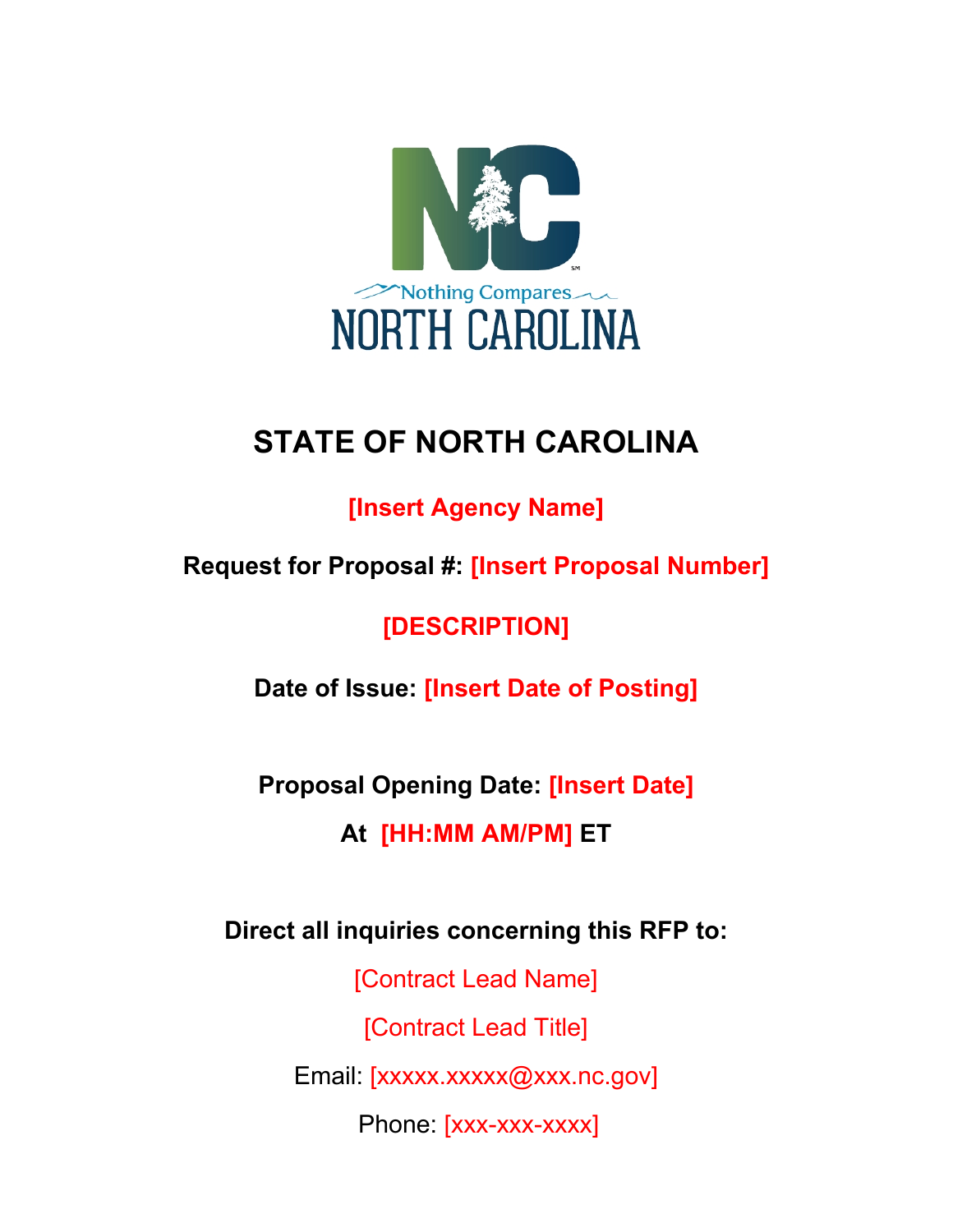

# **STATE OF NORTH CAROLINA**

**[Insert Agency Name]** 

**Request for Proposal #: [Insert Proposal Number]**

**[DESCRIPTION]** 

**Date of Issue: [Insert Date of Posting]**

**Proposal Opening Date: [Insert Date]**

**At [HH:MM AM/PM] ET** 

**Direct all inquiries concerning this RFP to:** 

[Contract Lead Name] [Contract Lead Title] Email: [xxxxx.xxxxx@xxx.nc.gov] Phone: [xxx-xxx-xxxx]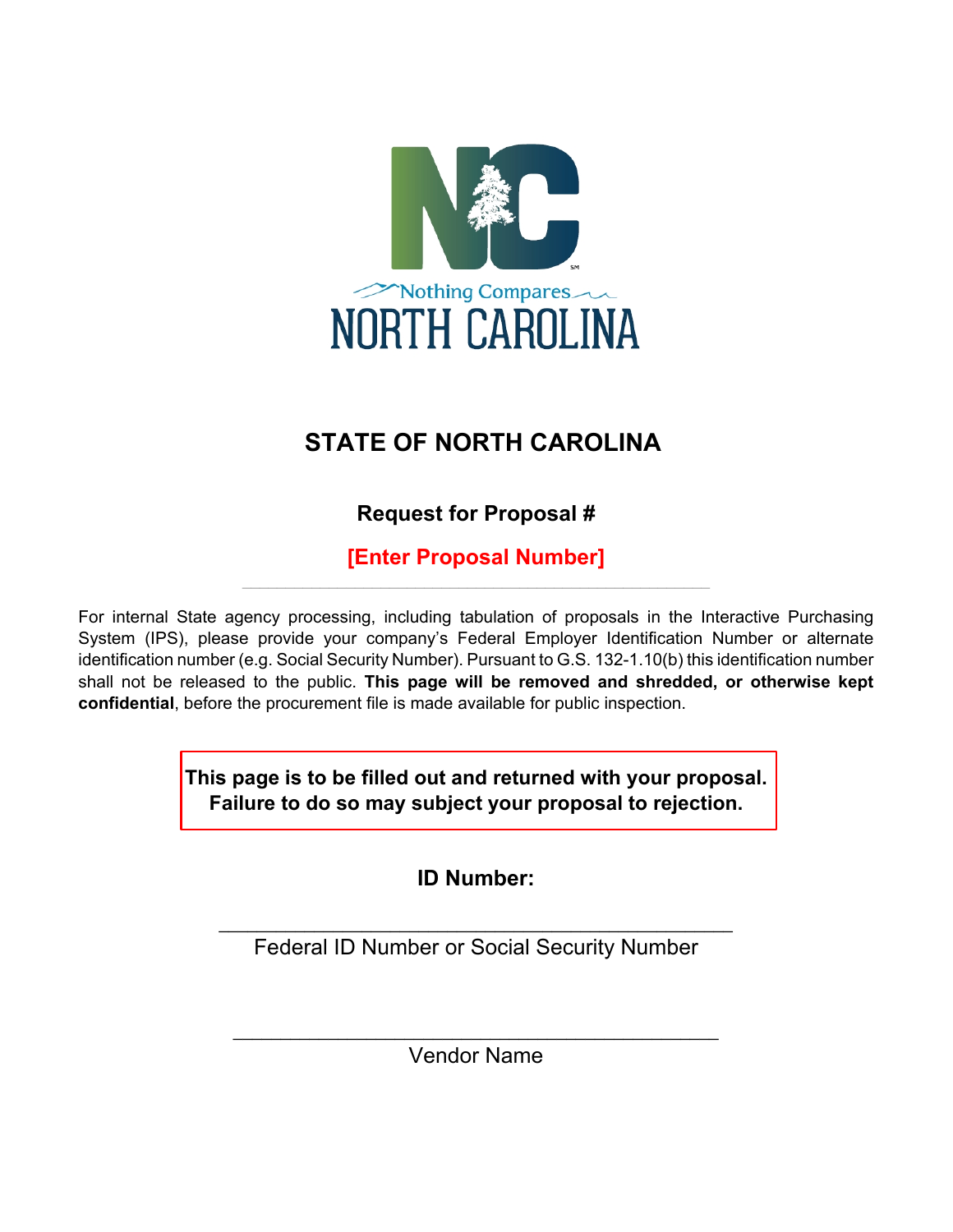

## **STATE OF NORTH CAROLINA**

**Request for Proposal #** 

**[Enter Proposal Number]**  $\mathcal{L}_1$  , and the contribution of the contribution of  $\mathcal{L}_1$  , and the contribution of  $\mathcal{L}_2$ 

For internal State agency processing, including tabulation of proposals in the Interactive Purchasing System (IPS), please provide your company's Federal Employer Identification Number or alternate identification number (e.g. Social Security Number). Pursuant to G.S. 132-1.10(b) this identification number shall not be released to the public. **This page will be removed and shredded, or otherwise kept confidential**, before the procurement file is made available for public inspection.

> **This page is to be filled out and returned with your proposal. Failure to do so may subject your proposal to rejection.**

> > **ID Number:**

 $\_$  , and the set of the set of the set of the set of the set of the set of the set of the set of the set of the set of the set of the set of the set of the set of the set of the set of the set of the set of the set of th Federal ID Number or Social Security Number

\_\_\_\_\_\_\_\_\_\_\_\_\_\_\_\_\_\_\_\_\_\_\_\_\_\_\_\_\_\_\_\_\_\_\_\_\_\_\_\_\_\_\_\_\_\_\_\_\_\_\_ Vendor Name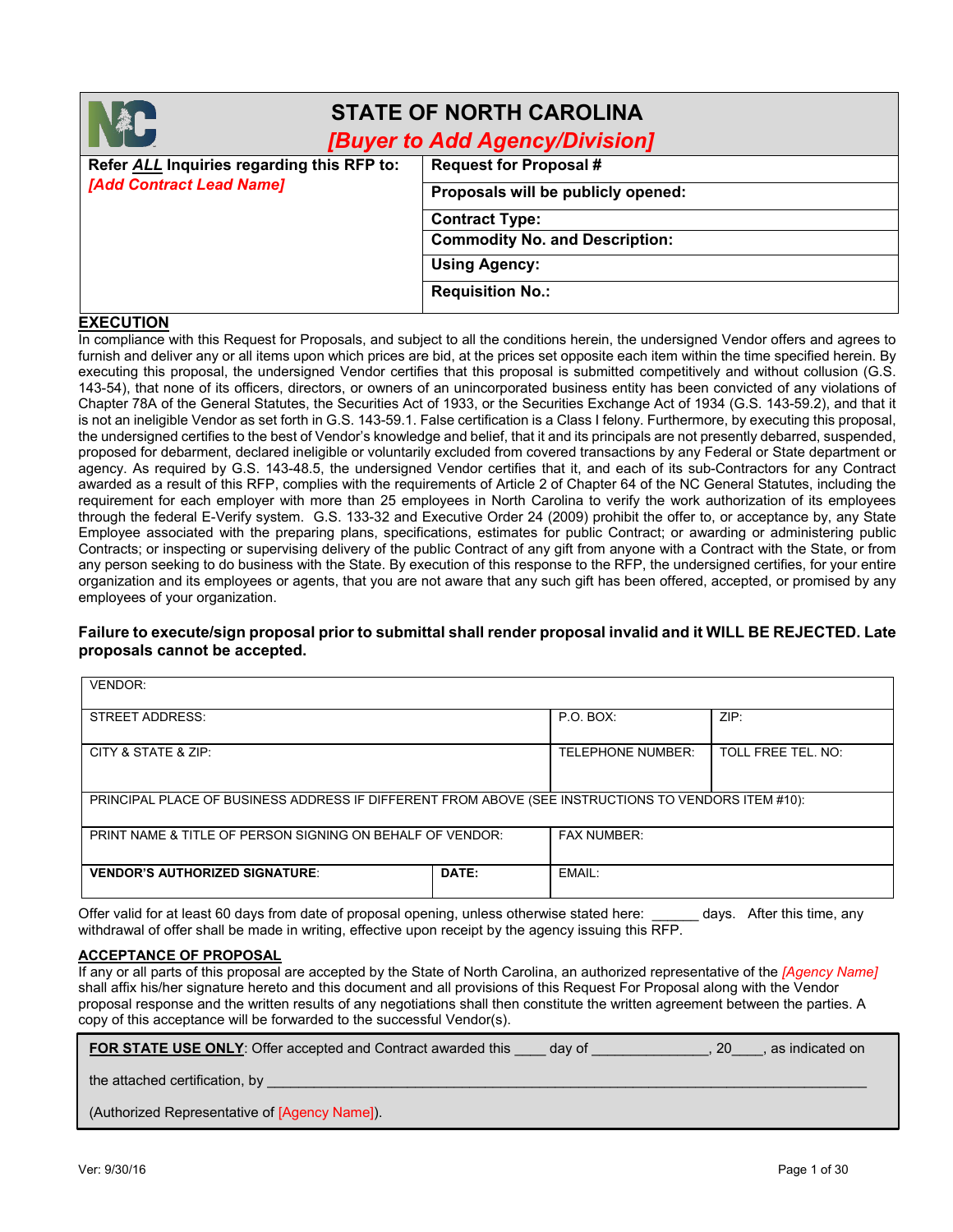|                                            | <b>STATE OF NORTH CAROLINA</b><br>[Buyer to Add Agency/Division] |
|--------------------------------------------|------------------------------------------------------------------|
| Refer ALL Inquiries regarding this RFP to: | <b>Request for Proposal #</b>                                    |
| <b>[Add Contract Lead Name]</b>            | Proposals will be publicly opened:                               |
|                                            | <b>Contract Type:</b>                                            |
|                                            | <b>Commodity No. and Description:</b>                            |
|                                            | <b>Using Agency:</b>                                             |
|                                            | <b>Requisition No.:</b>                                          |

#### **EXECUTION**

In compliance with this Request for Proposals, and subject to all the conditions herein, the undersigned Vendor offers and agrees to furnish and deliver any or all items upon which prices are bid, at the prices set opposite each item within the time specified herein. By executing this proposal, the undersigned Vendor certifies that this proposal is submitted competitively and without collusion (G.S. 143-54), that none of its officers, directors, or owners of an unincorporated business entity has been convicted of any violations of Chapter 78A of the General Statutes, the Securities Act of 1933, or the Securities Exchange Act of 1934 (G.S. 143-59.2), and that it is not an ineligible Vendor as set forth in G.S. 143-59.1. False certification is a Class I felony. Furthermore, by executing this proposal, the undersigned certifies to the best of Vendor's knowledge and belief, that it and its principals are not presently debarred, suspended, proposed for debarment, declared ineligible or voluntarily excluded from covered transactions by any Federal or State department or agency. As required by G.S. 143-48.5, the undersigned Vendor certifies that it, and each of its sub-Contractors for any Contract awarded as a result of this RFP, complies with the requirements of Article 2 of Chapter 64 of the NC General Statutes, including the requirement for each employer with more than 25 employees in North Carolina to verify the work authorization of its employees through the federal E-Verify system. G.S. 133-32 and Executive Order 24 (2009) prohibit the offer to, or acceptance by, any State Employee associated with the preparing plans, specifications, estimates for public Contract; or awarding or administering public Contracts; or inspecting or supervising delivery of the public Contract of any gift from anyone with a Contract with the State, or from any person seeking to do business with the State. By execution of this response to the RFP, the undersigned certifies, for your entire organization and its employees or agents, that you are not aware that any such gift has been offered, accepted, or promised by any employees of your organization.

#### **Failure to execute/sign proposal prior to submittal shall render proposal invalid and it WILL BE REJECTED. Late proposals cannot be accepted.**

| VENDOR:                                                                                             |       |                    |                    |
|-----------------------------------------------------------------------------------------------------|-------|--------------------|--------------------|
| STREET ADDRESS:                                                                                     |       | $P.O.$ BOX:        | ZIP:               |
| CITY & STATE & ZIP:                                                                                 |       | TELEPHONE NUMBER:  | TOLL FREE TEL. NO: |
| PRINCIPAL PLACE OF BUSINESS ADDRESS IF DIFFERENT FROM ABOVE (SEE INSTRUCTIONS TO VENDORS ITEM #10): |       |                    |                    |
| PRINT NAME & TITLE OF PERSON SIGNING ON BEHALF OF VENDOR:                                           |       | <b>FAX NUMBER:</b> |                    |
| <b>VENDOR'S AUTHORIZED SIGNATURE:</b>                                                               | DATE: | EMAIL:             |                    |

Offer valid for at least 60 days from date of proposal opening, unless otherwise stated here: \_\_\_\_\_\_ days. After this time, any withdrawal of offer shall be made in writing, effective upon receipt by the agency issuing this RFP.

#### **ACCEPTANCE OF PROPOSAL**

If any or all parts of this proposal are accepted by the State of North Carolina, an authorized representative of the *[Agency Name]* shall affix his/her signature hereto and this document and all provisions of this Request For Proposal along with the Vendor proposal response and the written results of any negotiations shall then constitute the written agreement between the parties. A copy of this acceptance will be forwarded to the successful Vendor(s).

| <b>FOR STATE USE ONLY:</b> Offer accepted and Contract awarded this<br>. as indicated on<br>day of<br>20 |  |
|----------------------------------------------------------------------------------------------------------|--|
| the attached certification, by                                                                           |  |
| (Authorized Representative of [Agency Name])                                                             |  |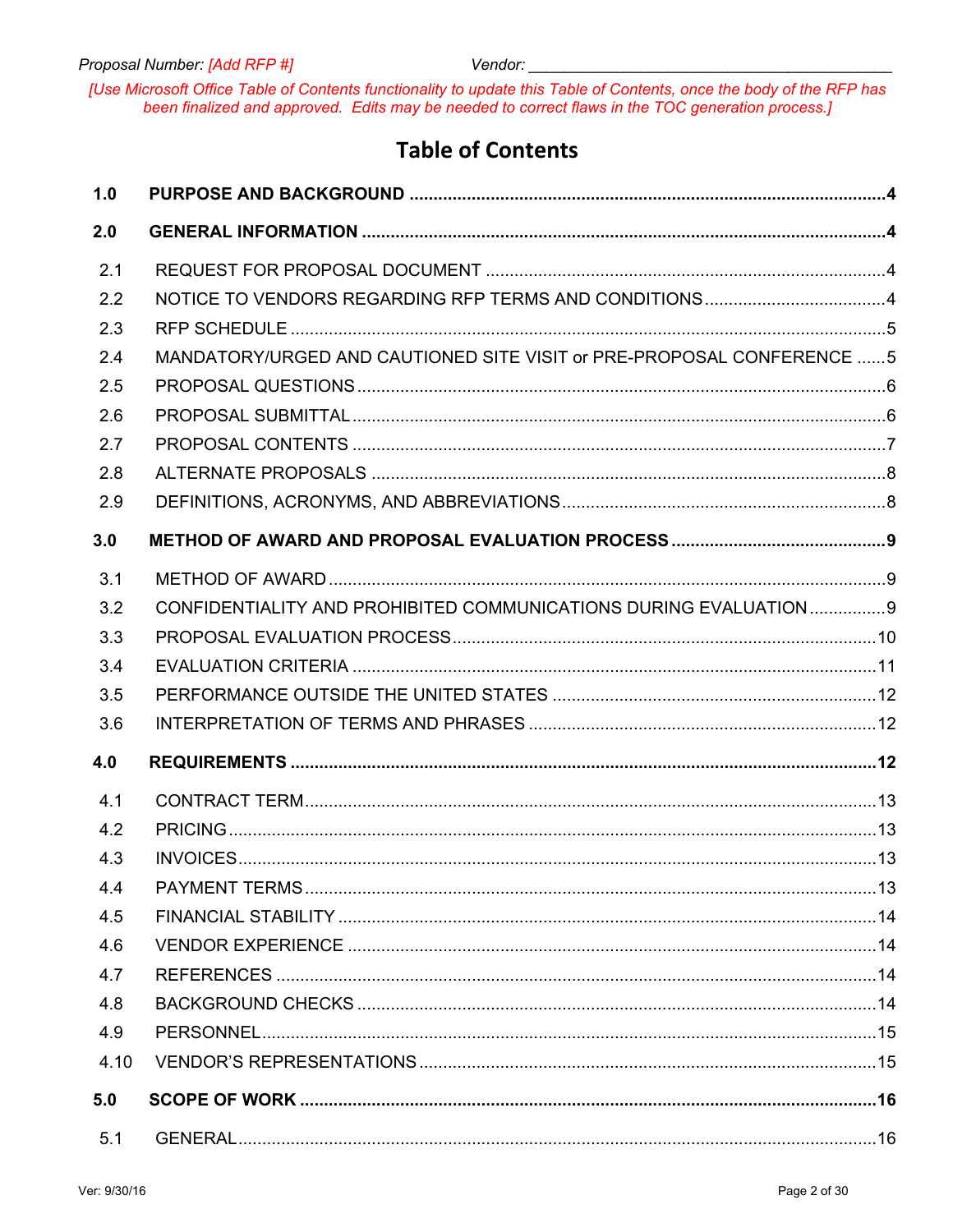[Use Microsoft Office Table of Contents functionality to update this Table of Contents, once the body of the RFP has<br>been finalized and approved. Edits may be needed to correct flaws in the TOC generation process.]

## **Table of Contents**

| 1.0  |                                                                       |  |
|------|-----------------------------------------------------------------------|--|
| 2.0  |                                                                       |  |
| 2.1  |                                                                       |  |
| 2.2  |                                                                       |  |
| 2.3  |                                                                       |  |
| 2.4  | MANDATORY/URGED AND CAUTIONED SITE VISIT or PRE-PROPOSAL CONFERENCE 5 |  |
| 2.5  |                                                                       |  |
| 2.6  |                                                                       |  |
| 2.7  |                                                                       |  |
| 2.8  |                                                                       |  |
| 2.9  |                                                                       |  |
| 3.0  |                                                                       |  |
| 3.1  |                                                                       |  |
| 3.2  | CONFIDENTIALITY AND PROHIBITED COMMUNICATIONS DURING EVALUATION9      |  |
| 3.3  |                                                                       |  |
| 3.4  |                                                                       |  |
| 3.5  |                                                                       |  |
| 3.6  |                                                                       |  |
| 4.0  |                                                                       |  |
| 4.1  |                                                                       |  |
| 4.2  |                                                                       |  |
| 4.3  |                                                                       |  |
| 4.4  |                                                                       |  |
| 4.5  |                                                                       |  |
| 4.6  |                                                                       |  |
| 4.7  |                                                                       |  |
| 4.8  |                                                                       |  |
| 4.9  |                                                                       |  |
| 4.10 |                                                                       |  |
| 5.0  |                                                                       |  |
| 5.1  |                                                                       |  |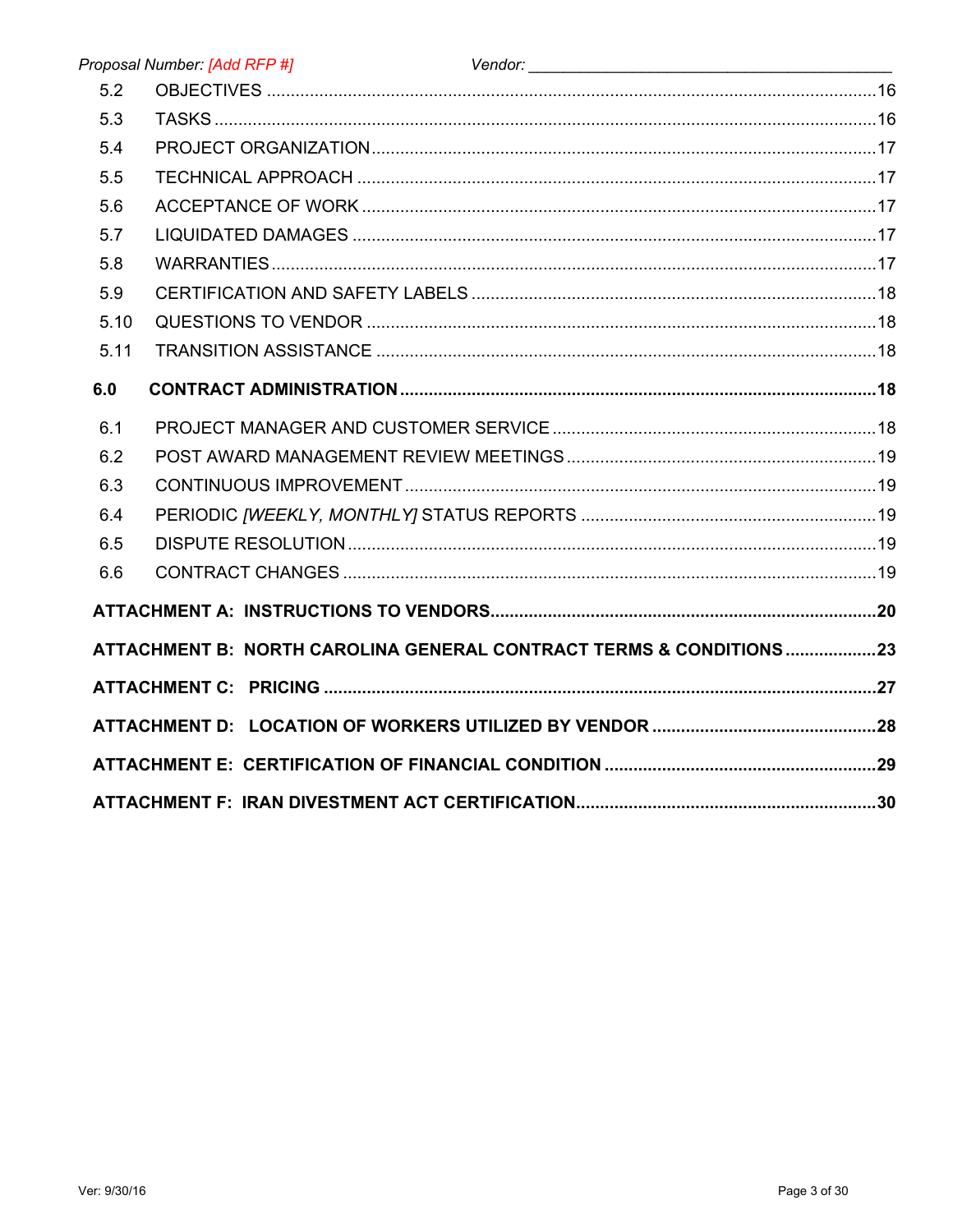|      | Proposal Number: [Add RFP #]                                        |  |
|------|---------------------------------------------------------------------|--|
| 5.2  |                                                                     |  |
| 5.3  |                                                                     |  |
| 5.4  |                                                                     |  |
| 5.5  |                                                                     |  |
| 5.6  |                                                                     |  |
| 5.7  |                                                                     |  |
| 5.8  |                                                                     |  |
| 5.9  |                                                                     |  |
| 5.10 |                                                                     |  |
| 5.11 |                                                                     |  |
| 6.0  |                                                                     |  |
| 6.1  |                                                                     |  |
| 6.2  |                                                                     |  |
| 6.3  |                                                                     |  |
| 6.4  |                                                                     |  |
| 6.5  |                                                                     |  |
| 6.6  |                                                                     |  |
|      |                                                                     |  |
|      | ATTACHMENT B: NORTH CAROLINA GENERAL CONTRACT TERMS & CONDITIONS 23 |  |
|      |                                                                     |  |
|      |                                                                     |  |
|      |                                                                     |  |
|      |                                                                     |  |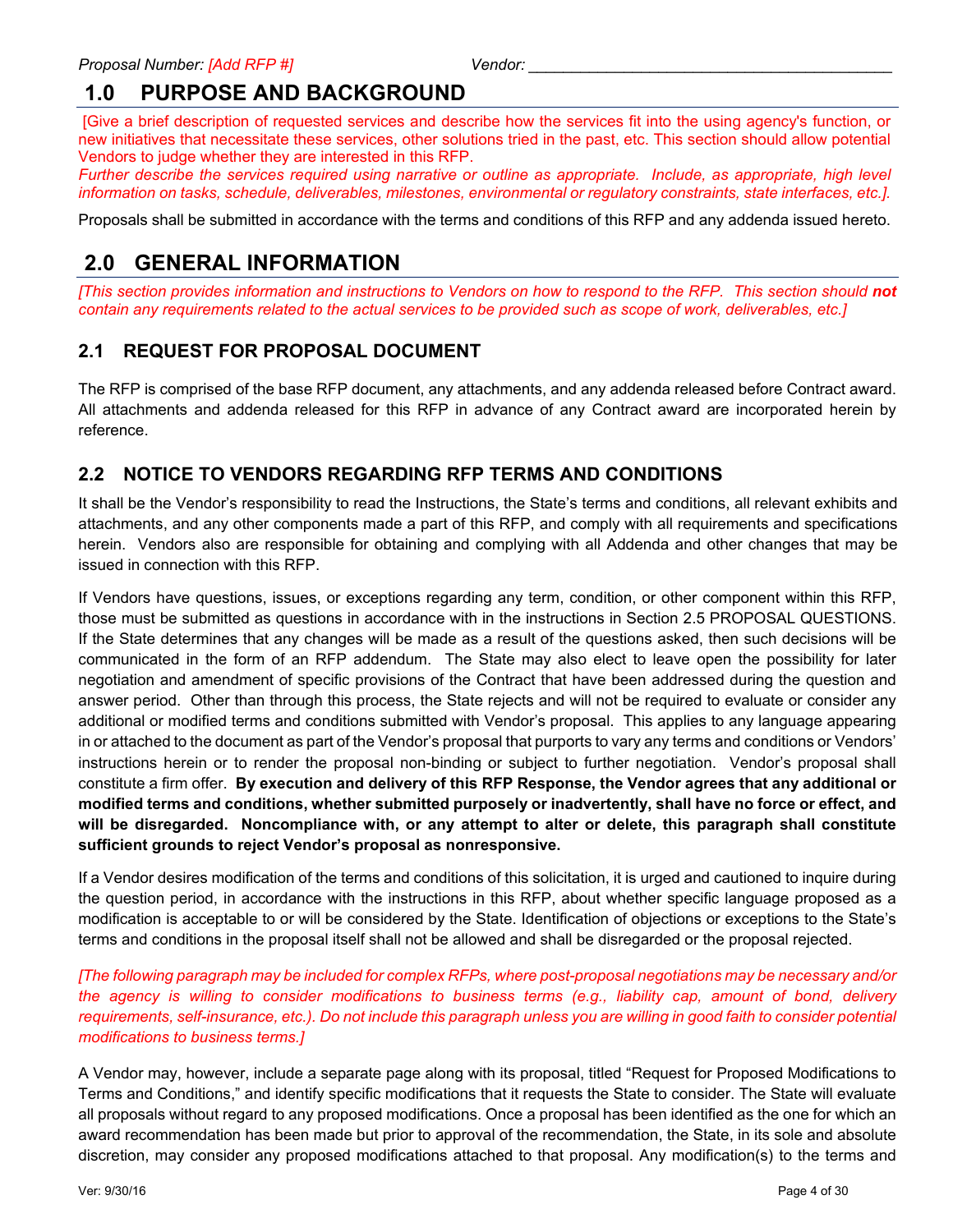## <span id="page-5-0"></span>**1.0 PURPOSE AND BACKGROUND**

[Give a brief description of requested services and describe how the services fit into the using agency's function, or new initiatives that necessitate these services, other solutions tried in the past, etc. This section should allow potential Vendors to judge whether they are interested in this RFP.

*Further describe the services required using narrative or outline as appropriate. Include, as appropriate, high level information on tasks, schedule, deliverables, milestones, environmental or regulatory constraints, state interfaces, etc.].* 

Proposals shall be submitted in accordance with the terms and conditions of this RFP and any addenda issued hereto.

## <span id="page-5-1"></span>**2.0 GENERAL INFORMATION**

*[This section provides information and instructions to Vendors on how to respond to the RFP. This section should not contain any requirements related to the actual services to be provided such as scope of work, deliverables, etc.]* 

## <span id="page-5-2"></span>**2.1 REQUEST FOR PROPOSAL DOCUMENT**

The RFP is comprised of the base RFP document, any attachments, and any addenda released before Contract award. All attachments and addenda released for this RFP in advance of any Contract award are incorporated herein by reference.

## <span id="page-5-3"></span>**2.2 NOTICE TO VENDORS REGARDING RFP TERMS AND CONDITIONS**

It shall be the Vendor's responsibility to read the Instructions, the State's terms and conditions, all relevant exhibits and attachments, and any other components made a part of this RFP, and comply with all requirements and specifications herein. Vendors also are responsible for obtaining and complying with all Addenda and other changes that may be issued in connection with this RFP.

If Vendors have questions, issues, or exceptions regarding any term, condition, or other component within this RFP, those must be submitted as questions in accordance with in the instructions in Section 2.5 PROPOSAL QUESTIONS. If the State determines that any changes will be made as a result of the questions asked, then such decisions will be communicated in the form of an RFP addendum. The State may also elect to leave open the possibility for later negotiation and amendment of specific provisions of the Contract that have been addressed during the question and answer period. Other than through this process, the State rejects and will not be required to evaluate or consider any additional or modified terms and conditions submitted with Vendor's proposal. This applies to any language appearing in or attached to the document as part of the Vendor's proposal that purports to vary any terms and conditions or Vendors' instructions herein or to render the proposal non-binding or subject to further negotiation. Vendor's proposal shall constitute a firm offer. **By execution and delivery of this RFP Response, the Vendor agrees that any additional or modified terms and conditions, whether submitted purposely or inadvertently, shall have no force or effect, and will be disregarded. Noncompliance with, or any attempt to alter or delete, this paragraph shall constitute sufficient grounds to reject Vendor's proposal as nonresponsive.** 

If a Vendor desires modification of the terms and conditions of this solicitation, it is urged and cautioned to inquire during the question period, in accordance with the instructions in this RFP, about whether specific language proposed as a modification is acceptable to or will be considered by the State. Identification of objections or exceptions to the State's terms and conditions in the proposal itself shall not be allowed and shall be disregarded or the proposal rejected.

*[The following paragraph may be included for complex RFPs, where post-proposal negotiations may be necessary and/or the agency is willing to consider modifications to business terms (e.g., liability cap, amount of bond, delivery requirements, self-insurance, etc.). Do not include this paragraph unless you are willing in good faith to consider potential modifications to business terms.]* 

A Vendor may, however, include a separate page along with its proposal, titled "Request for Proposed Modifications to Terms and Conditions," and identify specific modifications that it requests the State to consider. The State will evaluate all proposals without regard to any proposed modifications. Once a proposal has been identified as the one for which an award recommendation has been made but prior to approval of the recommendation, the State, in its sole and absolute discretion, may consider any proposed modifications attached to that proposal. Any modification(s) to the terms and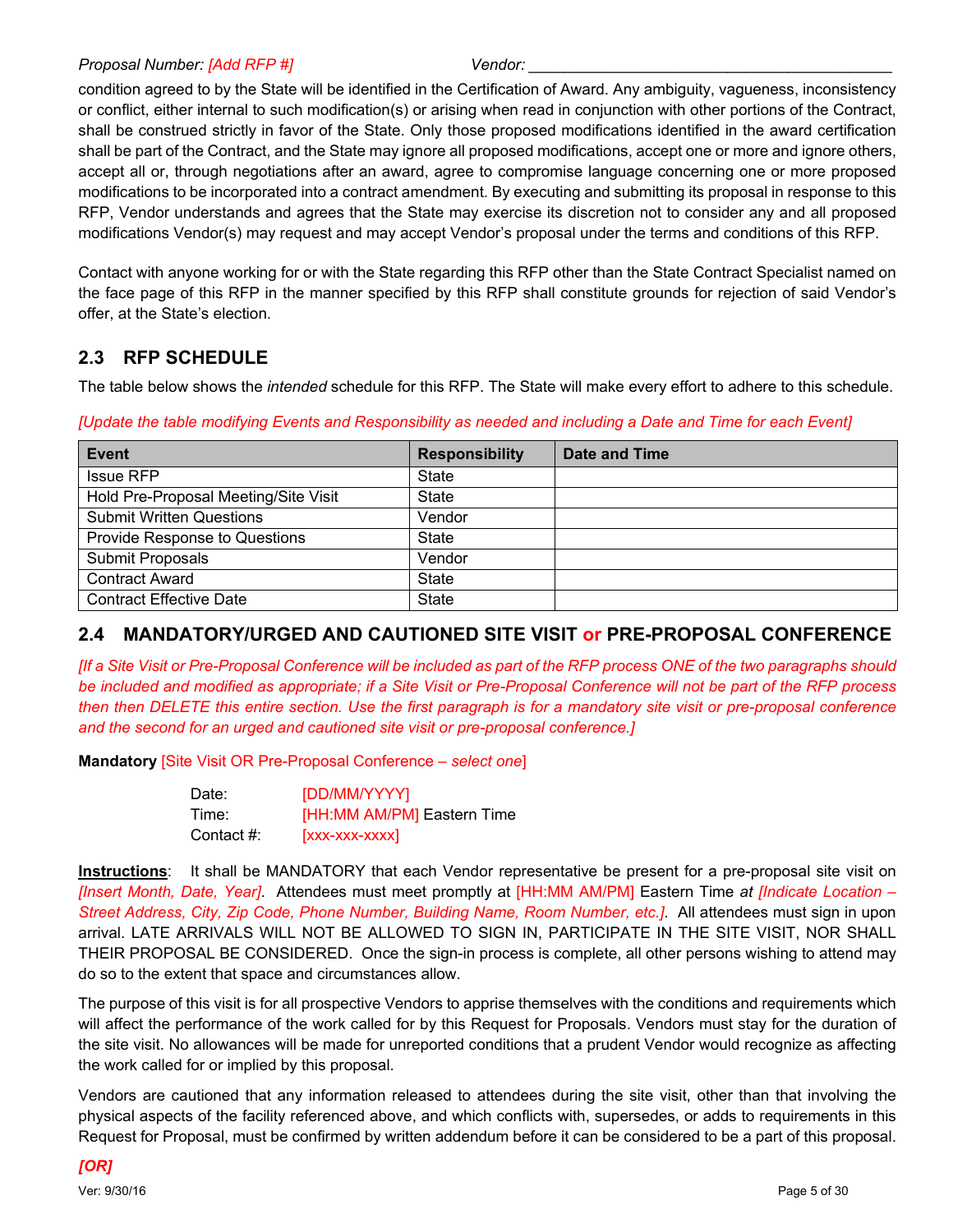condition agreed to by the State will be identified in the Certification of Award. Any ambiguity, vagueness, inconsistency or conflict, either internal to such modification(s) or arising when read in conjunction with other portions of the Contract, shall be construed strictly in favor of the State. Only those proposed modifications identified in the award certification shall be part of the Contract, and the State may ignore all proposed modifications, accept one or more and ignore others, accept all or, through negotiations after an award, agree to compromise language concerning one or more proposed modifications to be incorporated into a contract amendment. By executing and submitting its proposal in response to this RFP, Vendor understands and agrees that the State may exercise its discretion not to consider any and all proposed modifications Vendor(s) may request and may accept Vendor's proposal under the terms and conditions of this RFP.

Contact with anyone working for or with the State regarding this RFP other than the State Contract Specialist named on the face page of this RFP in the manner specified by this RFP shall constitute grounds for rejection of said Vendor's offer, at the State's election.

## <span id="page-6-0"></span>**2.3 RFP SCHEDULE**

The table below shows the *intended* schedule for this RFP. The State will make every effort to adhere to this schedule.

*[Update the table modifying Events and Responsibility as needed and including a Date and Time for each Event]*

| Event                                | <b>Responsibility</b> | Date and Time |
|--------------------------------------|-----------------------|---------------|
| <b>Issue RFP</b>                     | <b>State</b>          |               |
| Hold Pre-Proposal Meeting/Site Visit | <b>State</b>          |               |
| <b>Submit Written Questions</b>      | Vendor                |               |
| Provide Response to Questions        | <b>State</b>          |               |
| Submit Proposals                     | Vendor                |               |
| <b>Contract Award</b>                | <b>State</b>          |               |
| <b>Contract Effective Date</b>       | State                 |               |

## <span id="page-6-1"></span>**2.4 MANDATORY/URGED AND CAUTIONED SITE VISIT or PRE-PROPOSAL CONFERENCE**

*[If a Site Visit or Pre-Proposal Conference will be included as part of the RFP process ONE of the two paragraphs should be included and modified as appropriate; if a Site Visit or Pre-Proposal Conference will not be part of the RFP process then then DELETE this entire section. Use the first paragraph is for a mandatory site visit or pre-proposal conference and the second for an urged and cautioned site visit or pre-proposal conference.]*

**Mandatory** [Site Visit OR Pre-Proposal Conference – *select one*]

| Date:      | [DD/MM/YYYY]               |
|------------|----------------------------|
| Time:      | [HH:MM AM/PM] Eastern Time |
| Contact #: | $[XXX-XXXX]$               |

**Instructions**: It shall be MANDATORY that each Vendor representative be present for a pre-proposal site visit on *[Insert Month, Date, Year]*. Attendees must meet promptly at [HH:MM AM/PM] Eastern Time *at [Indicate Location – Street Address, City, Zip Code, Phone Number, Building Name, Room Number, etc.]*. All attendees must sign in upon arrival. LATE ARRIVALS WILL NOT BE ALLOWED TO SIGN IN, PARTICIPATE IN THE SITE VISIT, NOR SHALL THEIR PROPOSAL BE CONSIDERED. Once the sign-in process is complete, all other persons wishing to attend may do so to the extent that space and circumstances allow.

The purpose of this visit is for all prospective Vendors to apprise themselves with the conditions and requirements which will affect the performance of the work called for by this Request for Proposals. Vendors must stay for the duration of the site visit. No allowances will be made for unreported conditions that a prudent Vendor would recognize as affecting the work called for or implied by this proposal.

Vendors are cautioned that any information released to attendees during the site visit, other than that involving the physical aspects of the facility referenced above, and which conflicts with, supersedes, or adds to requirements in this Request for Proposal, must be confirmed by written addendum before it can be considered to be a part of this proposal.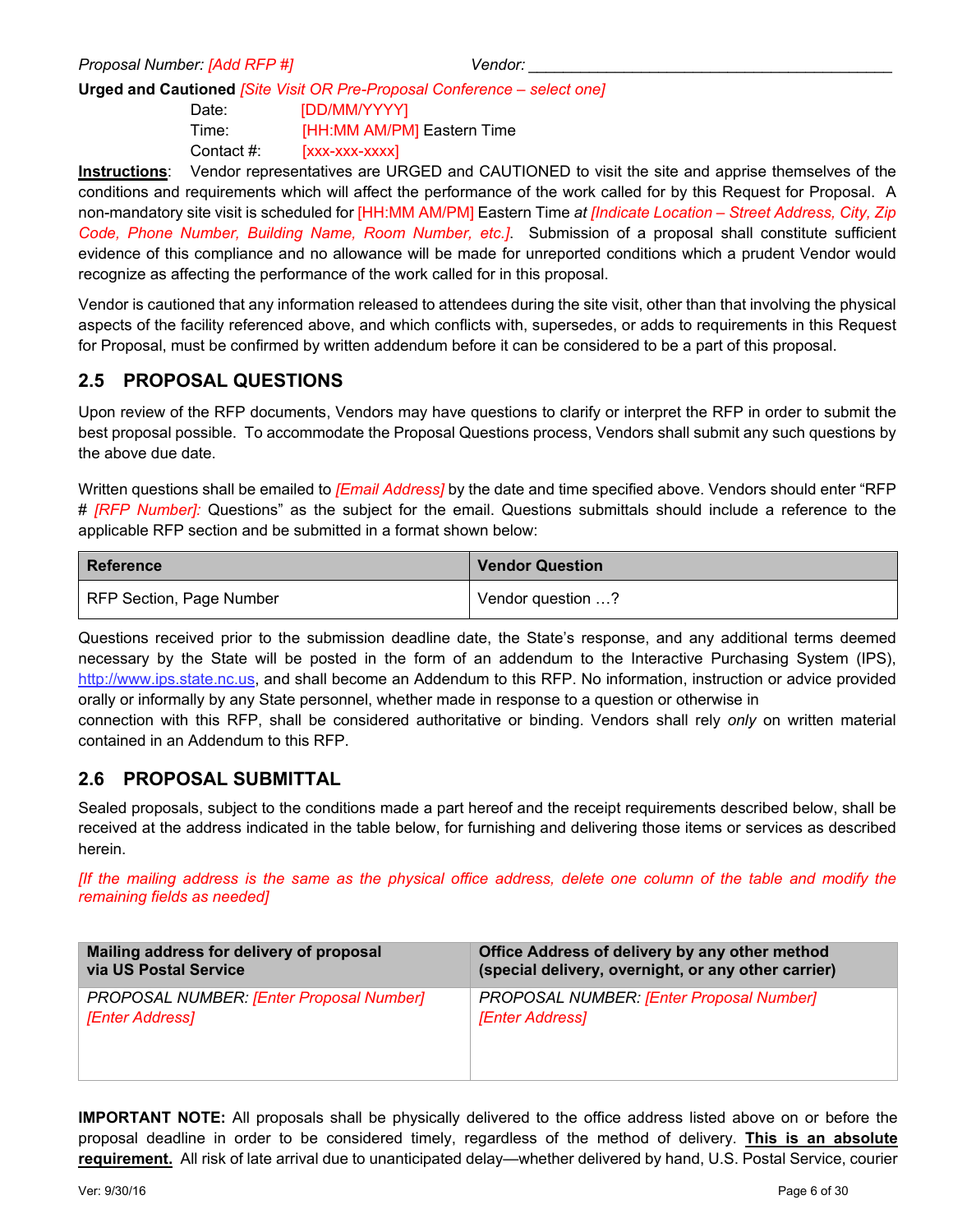**Urged and Cautioned** *[Site Visit OR Pre-Proposal Conference – select one]*

| Date:      | [DD/MM/YYYY]               |
|------------|----------------------------|
| Time:      | [HH:MM AM/PM] Eastern Time |
| Contact #: | $[XXX-XXXX]$               |

**Instructions**: Vendor representatives are URGED and CAUTIONED to visit the site and apprise themselves of the conditions and requirements which will affect the performance of the work called for by this Request for Proposal. A non-mandatory site visit is scheduled for [HH:MM AM/PM] Eastern Time *at [Indicate Location – Street Address, City, Zip Code, Phone Number, Building Name, Room Number, etc.]*. Submission of a proposal shall constitute sufficient evidence of this compliance and no allowance will be made for unreported conditions which a prudent Vendor would recognize as affecting the performance of the work called for in this proposal.

Vendor is cautioned that any information released to attendees during the site visit, other than that involving the physical aspects of the facility referenced above, and which conflicts with, supersedes, or adds to requirements in this Request for Proposal, must be confirmed by written addendum before it can be considered to be a part of this proposal.

## <span id="page-7-0"></span>**2.5 PROPOSAL QUESTIONS**

Upon review of the RFP documents, Vendors may have questions to clarify or interpret the RFP in order to submit the best proposal possible. To accommodate the Proposal Questions process, Vendors shall submit any such questions by the above due date.

Written questions shall be emailed to *[Email Address]* by the date and time specified above. Vendors should enter "RFP # *[RFP Number]:* Questions" as the subject for the email. Questions submittals should include a reference to the applicable RFP section and be submitted in a format shown below:

| <b>Reference</b>         | <b>Vendor Question</b> |
|--------------------------|------------------------|
| RFP Section, Page Number | Yendor question ?      |

Questions received prior to the submission deadline date, the State's response, and any additional terms deemed necessary by the State will be posted in the form of an addendum to the Interactive Purchasing System (IPS), [http://www.ips.state.nc.us,](http://www.ips.state.nc.us/) and shall become an Addendum to this RFP. No information, instruction or advice provided orally or informally by any State personnel, whether made in response to a question or otherwise in

connection with this RFP, shall be considered authoritative or binding. Vendors shall rely *only* on written material contained in an Addendum to this RFP.

## <span id="page-7-1"></span>**2.6 PROPOSAL SUBMITTAL**

Sealed proposals, subject to the conditions made a part hereof and the receipt requirements described below, shall be received at the address indicated in the table below, for furnishing and delivering those items or services as described herein.

*[If the mailing address is the same as the physical office address, delete one column of the table and modify the remaining fields as needed]*

| Mailing address for delivery of proposal        | Office Address of delivery by any other method      |
|-------------------------------------------------|-----------------------------------------------------|
| via US Postal Service                           | (special delivery, overnight, or any other carrier) |
| <b>PROPOSAL NUMBER: [Enter Proposal Number]</b> | <b>PROPOSAL NUMBER: [Enter Proposal Number]</b>     |
| <b>[Enter Address]</b>                          | [Enter Address]                                     |

**IMPORTANT NOTE:** All proposals shall be physically delivered to the office address listed above on or before the proposal deadline in order to be considered timely, regardless of the method of delivery. **This is an absolute requirement.** All risk of late arrival due to unanticipated delay—whether delivered by hand, U.S. Postal Service, courier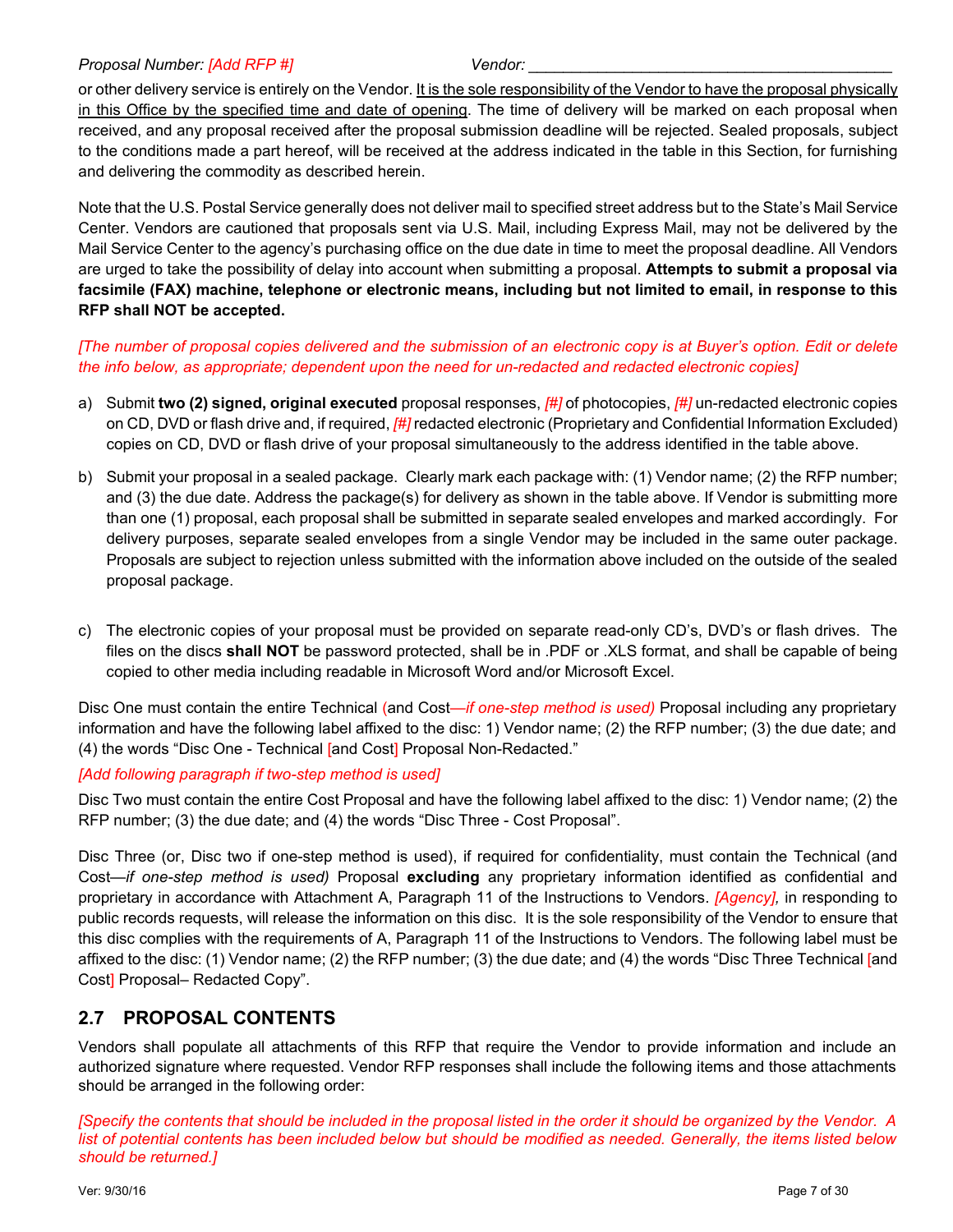or other delivery service is entirely on the Vendor. It is the sole responsibility of the Vendor to have the proposal physically in this Office by the specified time and date of opening. The time of delivery will be marked on each proposal when received, and any proposal received after the proposal submission deadline will be rejected. Sealed proposals, subject to the conditions made a part hereof, will be received at the address indicated in the table in this Section, for furnishing and delivering the commodity as described herein.

Note that the U.S. Postal Service generally does not deliver mail to specified street address but to the State's Mail Service Center. Vendors are cautioned that proposals sent via U.S. Mail, including Express Mail, may not be delivered by the Mail Service Center to the agency's purchasing office on the due date in time to meet the proposal deadline. All Vendors are urged to take the possibility of delay into account when submitting a proposal. **Attempts to submit a proposal via facsimile (FAX) machine, telephone or electronic means, including but not limited to email, in response to this RFP shall NOT be accepted.** 

*[The number of proposal copies delivered and the submission of an electronic copy is at Buyer's option. Edit or delete the info below, as appropriate; dependent upon the need for un-redacted and redacted electronic copies]*

- a) Submit **two (2) signed, original executed** proposal responses, *[#]* of photocopies, *[#]* un-redacted electronic copies on CD, DVD or flash drive and, if required, *[#]* redacted electronic (Proprietary and Confidential Information Excluded) copies on CD, DVD or flash drive of your proposal simultaneously to the address identified in the table above.
- b) Submit your proposal in a sealed package. Clearly mark each package with: (1) Vendor name; (2) the RFP number; and (3) the due date. Address the package(s) for delivery as shown in the table above. If Vendor is submitting more than one (1) proposal, each proposal shall be submitted in separate sealed envelopes and marked accordingly. For delivery purposes, separate sealed envelopes from a single Vendor may be included in the same outer package. Proposals are subject to rejection unless submitted with the information above included on the outside of the sealed proposal package.
- c) The electronic copies of your proposal must be provided on separate read-only CD's, DVD's or flash drives. The files on the discs **shall NOT** be password protected, shall be in .PDF or .XLS format, and shall be capable of being copied to other media including readable in Microsoft Word and/or Microsoft Excel.

Disc One must contain the entire Technical (and Cost*—if one-step method is used)* Proposal including any proprietary information and have the following label affixed to the disc: 1) Vendor name; (2) the RFP number; (3) the due date; and (4) the words "Disc One - Technical [and Cost] Proposal Non-Redacted."

#### *[Add following paragraph if two-step method is used]*

Disc Two must contain the entire Cost Proposal and have the following label affixed to the disc: 1) Vendor name; (2) the RFP number; (3) the due date; and (4) the words "Disc Three - Cost Proposal".

Disc Three (or, Disc two if one-step method is used), if required for confidentiality, must contain the Technical (and Cost*—if one-step method is used)* Proposal **excluding** any proprietary information identified as confidential and proprietary in accordance with Attachment A, Paragraph 11 of the Instructions to Vendors. *[Agency],* in responding to public records requests, will release the information on this disc. It is the sole responsibility of the Vendor to ensure that this disc complies with the requirements of A, Paragraph 11 of the Instructions to Vendors. The following label must be affixed to the disc: (1) Vendor name; (2) the RFP number; (3) the due date; and (4) the words "Disc Three Technical [and Cost] Proposal– Redacted Copy".

## <span id="page-8-0"></span>**2.7 PROPOSAL CONTENTS**

Vendors shall populate all attachments of this RFP that require the Vendor to provide information and include an authorized signature where requested. Vendor RFP responses shall include the following items and those attachments should be arranged in the following order:

*[Specify the contents that should be included in the proposal listed in the order it should be organized by the Vendor. A list of potential contents has been included below but should be modified as needed. Generally, the items listed below should be returned.]*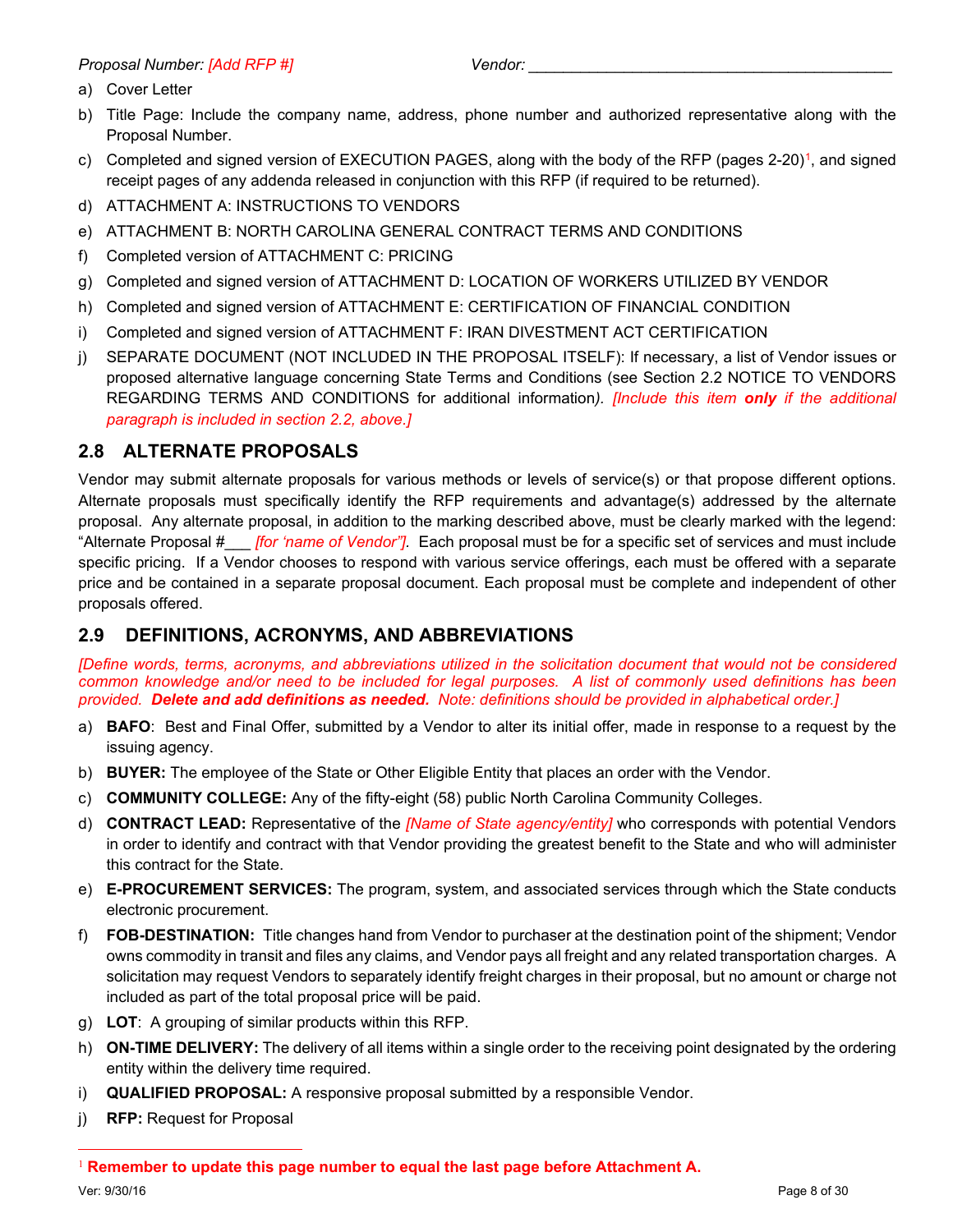- a) Cover Letter
- b) Title Page: Include the company name, address, phone number and authorized representative along with the Proposal Number.
- c) Completed and signed version of EXECUTION PAGES, along with the body of the RFP (pages 2-20)<sup>[1](#page-9-2)</sup>, and signed receipt pages of any addenda released in conjunction with this RFP (if required to be returned).
- d) ATTACHMENT A: INSTRUCTIONS TO VENDORS
- e) ATTACHMENT B: NORTH CAROLINA GENERAL CONTRACT TERMS AND CONDITIONS
- f) Completed version of ATTACHMENT C: PRICING
- g) Completed and signed version of ATTACHMENT D: LOCATION OF WORKERS UTILIZED BY VENDOR
- h) Completed and signed version of ATTACHMENT E: CERTIFICATION OF FINANCIAL CONDITION
- i) Completed and signed version of ATTACHMENT F: IRAN DIVESTMENT ACT CERTIFICATION
- j) SEPARATE DOCUMENT (NOT INCLUDED IN THE PROPOSAL ITSELF): If necessary, a list of Vendor issues or proposed alternative language concerning State Terms and Conditions (see Section 2.2 NOTICE TO VENDORS REGARDING TERMS AND CONDITIONS for additional information*). [Include this item only if the additional paragraph is included in section 2.2, above.]*

## <span id="page-9-0"></span>**2.8 ALTERNATE PROPOSALS**

Vendor may submit alternate proposals for various methods or levels of service(s) or that propose different options. Alternate proposals must specifically identify the RFP requirements and advantage(s) addressed by the alternate proposal. Any alternate proposal, in addition to the marking described above, must be clearly marked with the legend: "Alternate Proposal #\_\_\_ *[for 'name of Vendor"].* Each proposal must be for a specific set of services and must include specific pricing. If a Vendor chooses to respond with various service offerings, each must be offered with a separate price and be contained in a separate proposal document. Each proposal must be complete and independent of other proposals offered.

## <span id="page-9-1"></span>**2.9 DEFINITIONS, ACRONYMS, AND ABBREVIATIONS**

*[Define words, terms, acronyms, and abbreviations utilized in the solicitation document that would not be considered common knowledge and/or need to be included for legal purposes. A list of commonly used definitions has been provided. Delete and add definitions as needed. Note: definitions should be provided in alphabetical order.]*

- a) **BAFO**: Best and Final Offer, submitted by a Vendor to alter its initial offer, made in response to a request by the issuing agency.
- b) **BUYER:** The employee of the State or Other Eligible Entity that places an order with the Vendor.
- c) **COMMUNITY COLLEGE:** Any of the fifty-eight (58) public North Carolina Community Colleges.
- d) **CONTRACT LEAD:** Representative of the *[Name of State agency/entity]* who corresponds with potential Vendors in order to identify and contract with that Vendor providing the greatest benefit to the State and who will administer this contract for the State.
- e) **E-PROCUREMENT SERVICES:** The program, system, and associated services through which the State conducts electronic procurement.
- f) **FOB-DESTINATION:** Title changes hand from Vendor to purchaser at the destination point of the shipment; Vendor owns commodity in transit and files any claims, and Vendor pays all freight and any related transportation charges. A solicitation may request Vendors to separately identify freight charges in their proposal, but no amount or charge not included as part of the total proposal price will be paid.
- g) **LOT**: A grouping of similar products within this RFP.
- h) **ON-TIME DELIVERY:** The delivery of all items within a single order to the receiving point designated by the ordering entity within the delivery time required.
- i) **QUALIFIED PROPOSAL:** A responsive proposal submitted by a responsible Vendor.
- j) **RFP:** Request for Proposal

<span id="page-9-2"></span> $\overline{a}$ <sup>1</sup> **Remember to update this page number to equal the last page before Attachment A.**

Ver: 9/30/16 Page 8 of 30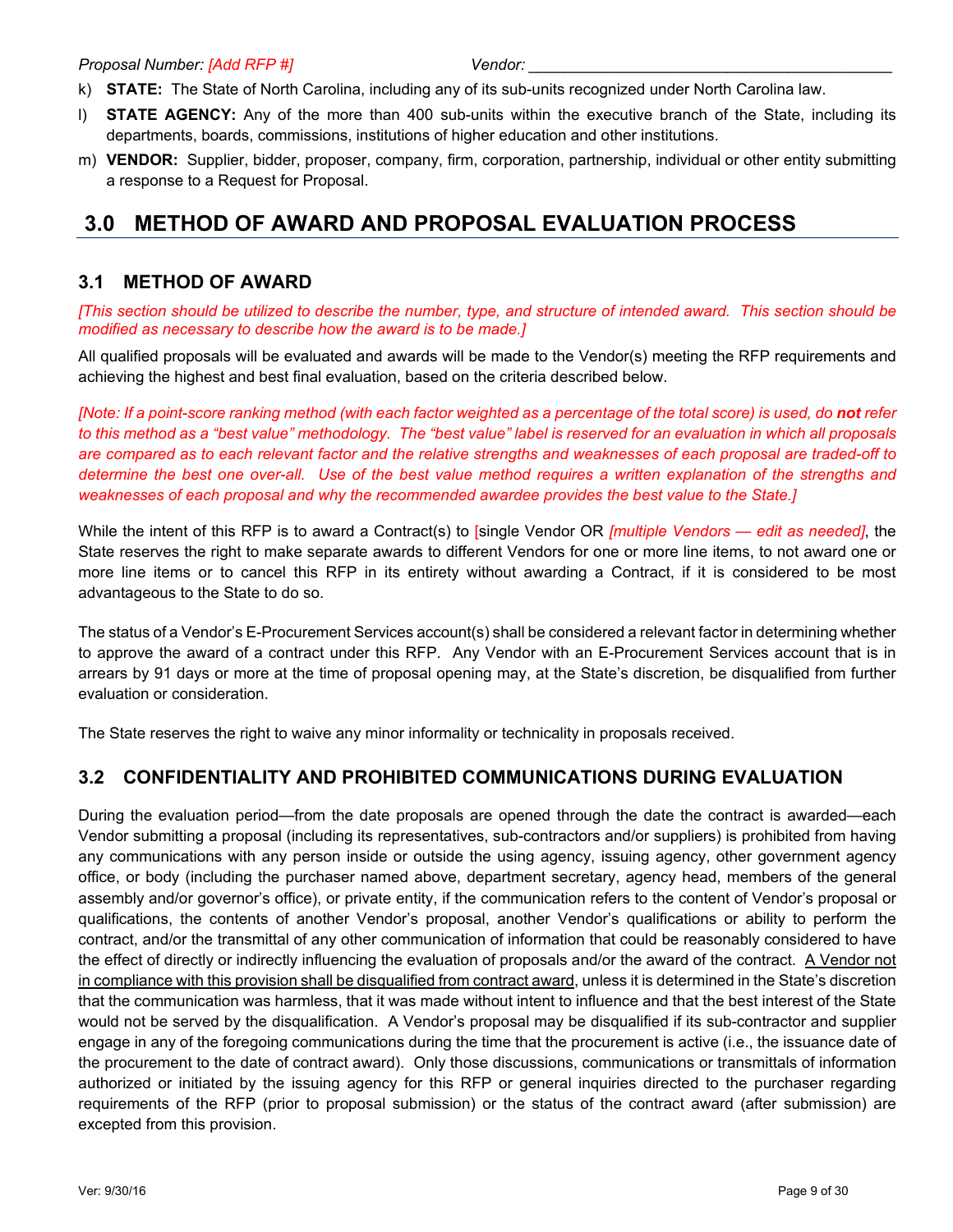- k) **STATE:** The State of North Carolina, including any of its sub-units recognized under North Carolina law.
- l) **STATE AGENCY:** Any of the more than 400 sub-units within the executive branch of the State, including its departments, boards, commissions, institutions of higher education and other institutions.
- m) **VENDOR:** Supplier, bidder, proposer, company, firm, corporation, partnership, individual or other entity submitting a response to a Request for Proposal.

## <span id="page-10-0"></span>**3.0 METHOD OF AWARD AND PROPOSAL EVALUATION PROCESS**

#### <span id="page-10-1"></span>**3.1 METHOD OF AWARD**

*[This section should be utilized to describe the number, type, and structure of intended award. This section should be modified as necessary to describe how the award is to be made.]*

All qualified proposals will be evaluated and awards will be made to the Vendor(s) meeting the RFP requirements and achieving the highest and best final evaluation, based on the criteria described below.

*[Note: If a point-score ranking method (with each factor weighted as a percentage of the total score) is used, do not refer to this method as a "best value" methodology. The "best value" label is reserved for an evaluation in which all proposals are compared as to each relevant factor and the relative strengths and weaknesses of each proposal are traded-off to determine the best one over-all. Use of the best value method requires a written explanation of the strengths and weaknesses of each proposal and why the recommended awardee provides the best value to the State.]* 

While the intent of this RFP is to award a Contract(s) to *[single Vendor OR <i>[multiple Vendors — edit as needed]*, the State reserves the right to make separate awards to different Vendors for one or more line items, to not award one or more line items or to cancel this RFP in its entirety without awarding a Contract, if it is considered to be most advantageous to the State to do so.

The status of a Vendor's E-Procurement Services account(s) shall be considered a relevant factor in determining whether to approve the award of a contract under this RFP. Any Vendor with an E-Procurement Services account that is in arrears by 91 days or more at the time of proposal opening may, at the State's discretion, be disqualified from further evaluation or consideration.

The State reserves the right to waive any minor informality or technicality in proposals received.

## <span id="page-10-2"></span>**3.2 CONFIDENTIALITY AND PROHIBITED COMMUNICATIONS DURING EVALUATION**

During the evaluation period—from the date proposals are opened through the date the contract is awarded—each Vendor submitting a proposal (including its representatives, sub-contractors and/or suppliers) is prohibited from having any communications with any person inside or outside the using agency, issuing agency, other government agency office, or body (including the purchaser named above, department secretary, agency head, members of the general assembly and/or governor's office), or private entity, if the communication refers to the content of Vendor's proposal or qualifications, the contents of another Vendor's proposal, another Vendor's qualifications or ability to perform the contract, and/or the transmittal of any other communication of information that could be reasonably considered to have the effect of directly or indirectly influencing the evaluation of proposals and/or the award of the contract. A Vendor not in compliance with this provision shall be disqualified from contract award, unless it is determined in the State's discretion that the communication was harmless, that it was made without intent to influence and that the best interest of the State would not be served by the disqualification. A Vendor's proposal may be disqualified if its sub-contractor and supplier engage in any of the foregoing communications during the time that the procurement is active (i.e., the issuance date of the procurement to the date of contract award). Only those discussions, communications or transmittals of information authorized or initiated by the issuing agency for this RFP or general inquiries directed to the purchaser regarding requirements of the RFP (prior to proposal submission) or the status of the contract award (after submission) are excepted from this provision.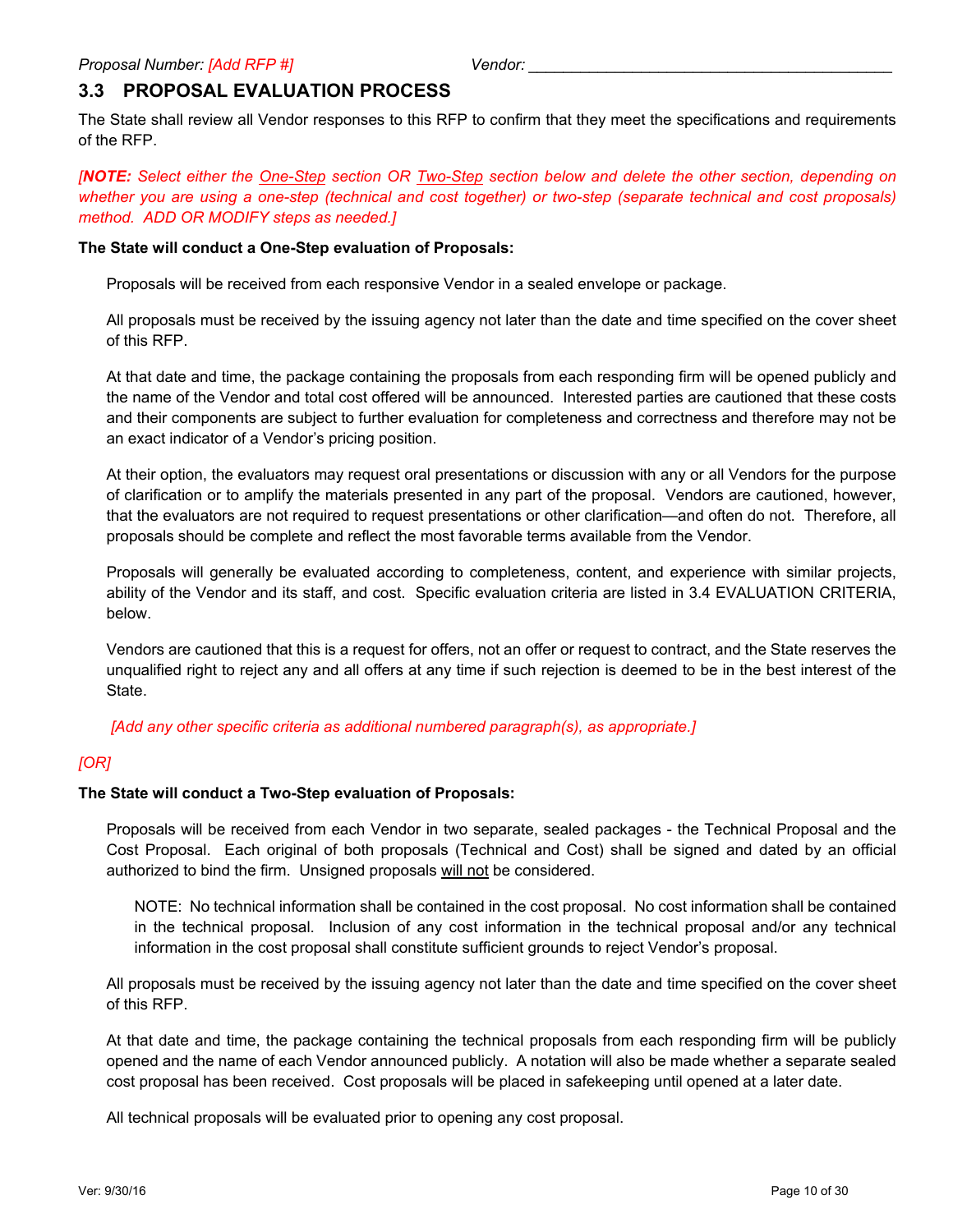#### <span id="page-11-0"></span>**3.3 PROPOSAL EVALUATION PROCESS**

The State shall review all Vendor responses to this RFP to confirm that they meet the specifications and requirements of the RFP.

*[NOTE: Select either the One-Step section OR Two-Step section below and delete the other section, depending on whether you are using a one-step (technical and cost together) or two-step (separate technical and cost proposals) method. ADD OR MODIFY steps as needed.]* 

#### **The State will conduct a One-Step evaluation of Proposals:**

Proposals will be received from each responsive Vendor in a sealed envelope or package.

All proposals must be received by the issuing agency not later than the date and time specified on the cover sheet of this RFP.

At that date and time, the package containing the proposals from each responding firm will be opened publicly and the name of the Vendor and total cost offered will be announced. Interested parties are cautioned that these costs and their components are subject to further evaluation for completeness and correctness and therefore may not be an exact indicator of a Vendor's pricing position.

At their option, the evaluators may request oral presentations or discussion with any or all Vendors for the purpose of clarification or to amplify the materials presented in any part of the proposal. Vendors are cautioned, however, that the evaluators are not required to request presentations or other clarification—and often do not. Therefore, all proposals should be complete and reflect the most favorable terms available from the Vendor.

Proposals will generally be evaluated according to completeness, content, and experience with similar projects, ability of the Vendor and its staff, and cost. Specific evaluation criteria are listed in 3.4 EVALUATION CRITERIA, below.

Vendors are cautioned that this is a request for offers, not an offer or request to contract, and the State reserves the unqualified right to reject any and all offers at any time if such rejection is deemed to be in the best interest of the State.

 *[Add any other specific criteria as additional numbered paragraph(s), as appropriate.]* 

#### *[OR]*

#### **The State will conduct a Two-Step evaluation of Proposals:**

Proposals will be received from each Vendor in two separate, sealed packages - the Technical Proposal and the Cost Proposal. Each original of both proposals (Technical and Cost) shall be signed and dated by an official authorized to bind the firm. Unsigned proposals will not be considered.

NOTE: No technical information shall be contained in the cost proposal. No cost information shall be contained in the technical proposal. Inclusion of any cost information in the technical proposal and/or any technical information in the cost proposal shall constitute sufficient grounds to reject Vendor's proposal.

All proposals must be received by the issuing agency not later than the date and time specified on the cover sheet of this RFP.

At that date and time, the package containing the technical proposals from each responding firm will be publicly opened and the name of each Vendor announced publicly. A notation will also be made whether a separate sealed cost proposal has been received. Cost proposals will be placed in safekeeping until opened at a later date.

All technical proposals will be evaluated prior to opening any cost proposal.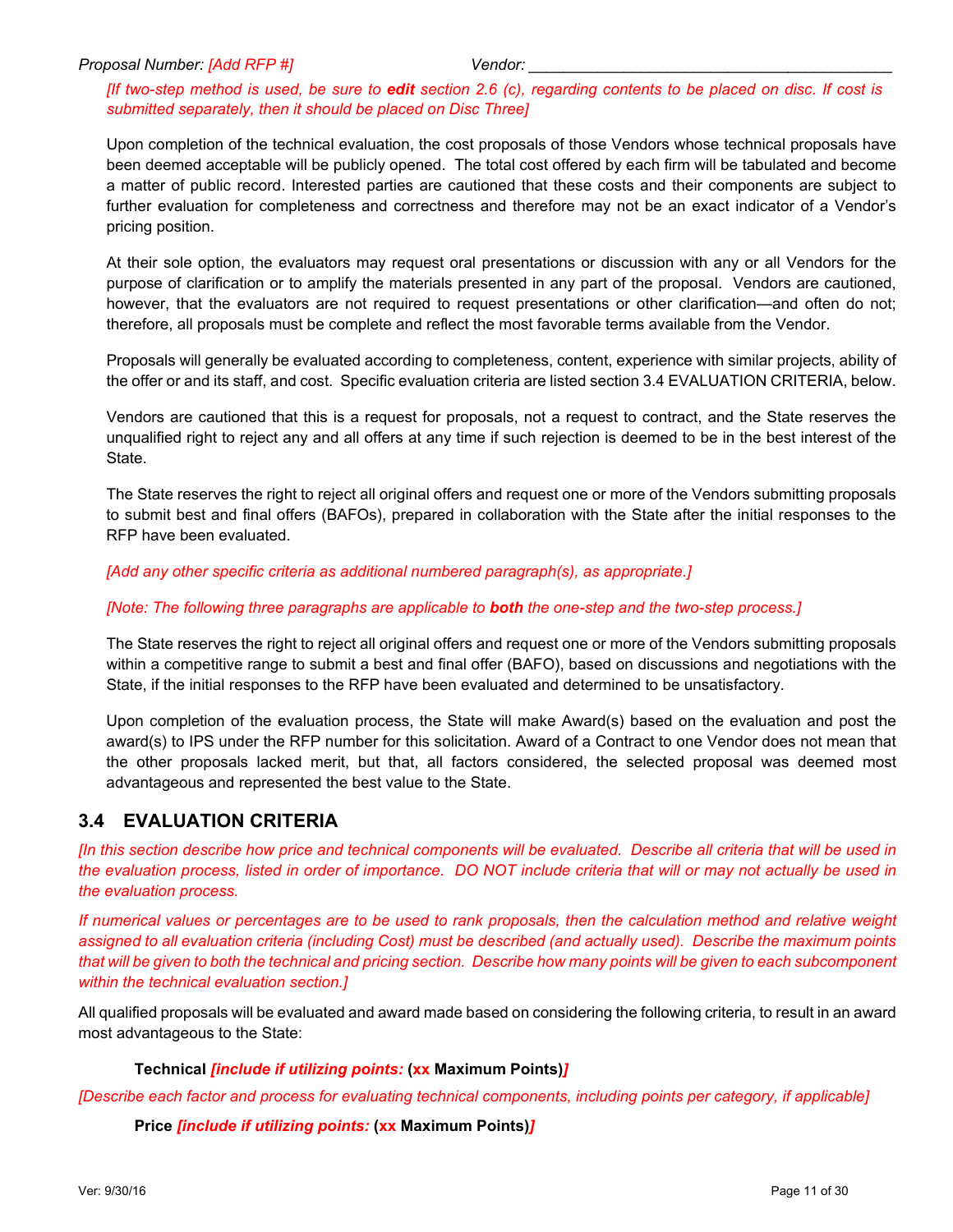*[If two-step method is used, be sure to edit section 2.6 (c), regarding contents to be placed on disc. If cost is submitted separately, then it should be placed on Disc Three]* 

Upon completion of the technical evaluation, the cost proposals of those Vendors whose technical proposals have been deemed acceptable will be publicly opened. The total cost offered by each firm will be tabulated and become a matter of public record. Interested parties are cautioned that these costs and their components are subject to further evaluation for completeness and correctness and therefore may not be an exact indicator of a Vendor's pricing position.

At their sole option, the evaluators may request oral presentations or discussion with any or all Vendors for the purpose of clarification or to amplify the materials presented in any part of the proposal. Vendors are cautioned, however, that the evaluators are not required to request presentations or other clarification—and often do not; therefore, all proposals must be complete and reflect the most favorable terms available from the Vendor.

Proposals will generally be evaluated according to completeness, content, experience with similar projects, ability of the offer or and its staff, and cost. Specific evaluation criteria are listed section [3.4](#page-12-0) EVALUATION CRITERIA, below.

Vendors are cautioned that this is a request for proposals, not a request to contract, and the State reserves the unqualified right to reject any and all offers at any time if such rejection is deemed to be in the best interest of the **State** 

The State reserves the right to reject all original offers and request one or more of the Vendors submitting proposals to submit best and final offers (BAFOs), prepared in collaboration with the State after the initial responses to the RFP have been evaluated.

*[Add any other specific criteria as additional numbered paragraph(s), as appropriate.]* 

#### *[Note: The following three paragraphs are applicable to both the one-step and the two-step process.]*

The State reserves the right to reject all original offers and request one or more of the Vendors submitting proposals within a competitive range to submit a best and final offer (BAFO), based on discussions and negotiations with the State, if the initial responses to the RFP have been evaluated and determined to be unsatisfactory.

Upon completion of the evaluation process, the State will make Award(s) based on the evaluation and post the award(s) to IPS under the RFP number for this solicitation. Award of a Contract to one Vendor does not mean that the other proposals lacked merit, but that, all factors considered, the selected proposal was deemed most advantageous and represented the best value to the State.

## <span id="page-12-0"></span>**3.4 EVALUATION CRITERIA**

*[In this section describe how price and technical components will be evaluated. Describe all criteria that will be used in the evaluation process, listed in order of importance. DO NOT include criteria that will or may not actually be used in the evaluation process.*

*If numerical values or percentages are to be used to rank proposals, then the calculation method and relative weight assigned to all evaluation criteria (including Cost) must be described (and actually used). Describe the maximum points that will be given to both the technical and pricing section. Describe how many points will be given to each subcomponent within the technical evaluation section.]*

All qualified proposals will be evaluated and award made based on considering the following criteria, to result in an award most advantageous to the State:

#### **Technical** *[include if utilizing points:* **(xx Maximum Points)***]*

*[Describe each factor and process for evaluating technical components, including points per category, if applicable]*

**Price** *[include if utilizing points:* **(xx Maximum Points)***]*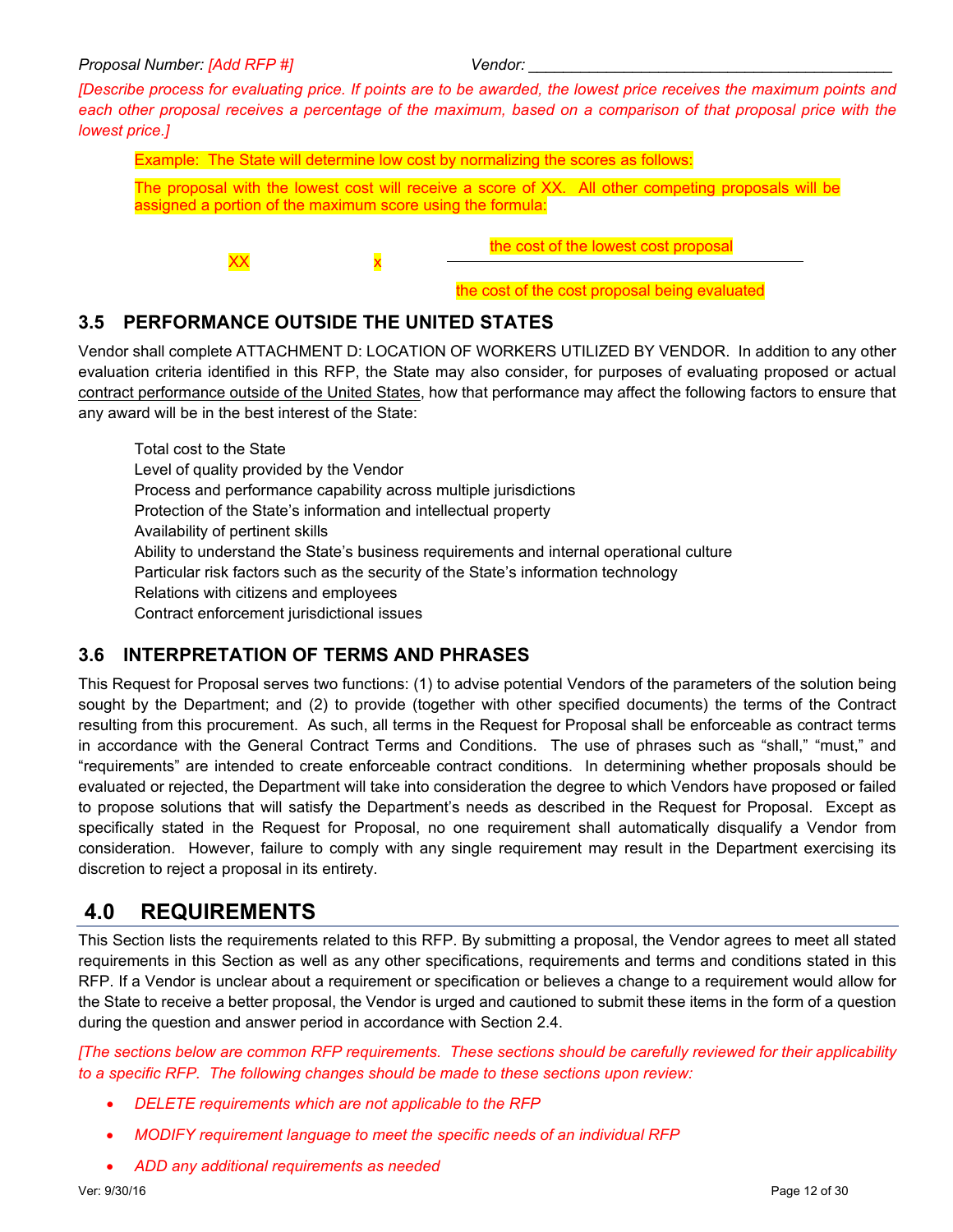*[Describe process for evaluating price. If points are to be awarded, the lowest price receives the maximum points and*  each other proposal receives a percentage of the maximum, based on a comparison of that proposal price with the *lowest price.]* 

Example: The State will determine low cost by normalizing the scores as follows: The proposal with the lowest cost will receive a score of XX. All other competing proposals will be assigned a portion of the maximum score using the formula:

XX x the cost of the lowest cost proposal

the cost of the cost proposal being evaluated

## <span id="page-13-0"></span>**3.5 PERFORMANCE OUTSIDE THE UNITED STATES**

Vendor shall complete ATTACHMENT D: LOCATION OF WORKERS UTILIZED BY VENDOR. In addition to any other evaluation criteria identified in this RFP, the State may also consider, for purposes of evaluating proposed or actual contract performance outside of the United States, how that performance may affect the following factors to ensure that any award will be in the best interest of the State:

Total cost to the State Level of quality provided by the Vendor Process and performance capability across multiple jurisdictions Protection of the State's information and intellectual property Availability of pertinent skills Ability to understand the State's business requirements and internal operational culture Particular risk factors such as the security of the State's information technology Relations with citizens and employees Contract enforcement jurisdictional issues

## <span id="page-13-1"></span>**3.6 INTERPRETATION OF TERMS AND PHRASES**

This Request for Proposal serves two functions: (1) to advise potential Vendors of the parameters of the solution being sought by the Department; and (2) to provide (together with other specified documents) the terms of the Contract resulting from this procurement. As such, all terms in the Request for Proposal shall be enforceable as contract terms in accordance with the General Contract Terms and Conditions. The use of phrases such as "shall," "must," and "requirements" are intended to create enforceable contract conditions. In determining whether proposals should be evaluated or rejected, the Department will take into consideration the degree to which Vendors have proposed or failed to propose solutions that will satisfy the Department's needs as described in the Request for Proposal. Except as specifically stated in the Request for Proposal, no one requirement shall automatically disqualify a Vendor from consideration. However, failure to comply with any single requirement may result in the Department exercising its discretion to reject a proposal in its entirety.

## <span id="page-13-2"></span>**4.0 REQUIREMENTS**

This Section lists the requirements related to this RFP. By submitting a proposal, the Vendor agrees to meet all stated requirements in this Section as well as any other specifications, requirements and terms and conditions stated in this RFP. If a Vendor is unclear about a requirement or specification or believes a change to a requirement would allow for the State to receive a better proposal, the Vendor is urged and cautioned to submit these items in the form of a question during the question and answer period in accordance with Section 2.4.

*[The sections below are common RFP requirements. These sections should be carefully reviewed for their applicability to a specific RFP. The following changes should be made to these sections upon review:*

- *DELETE requirements which are not applicable to the RFP*
- *MODIFY requirement language to meet the specific needs of an individual RFP*
- *ADD any additional requirements as needed*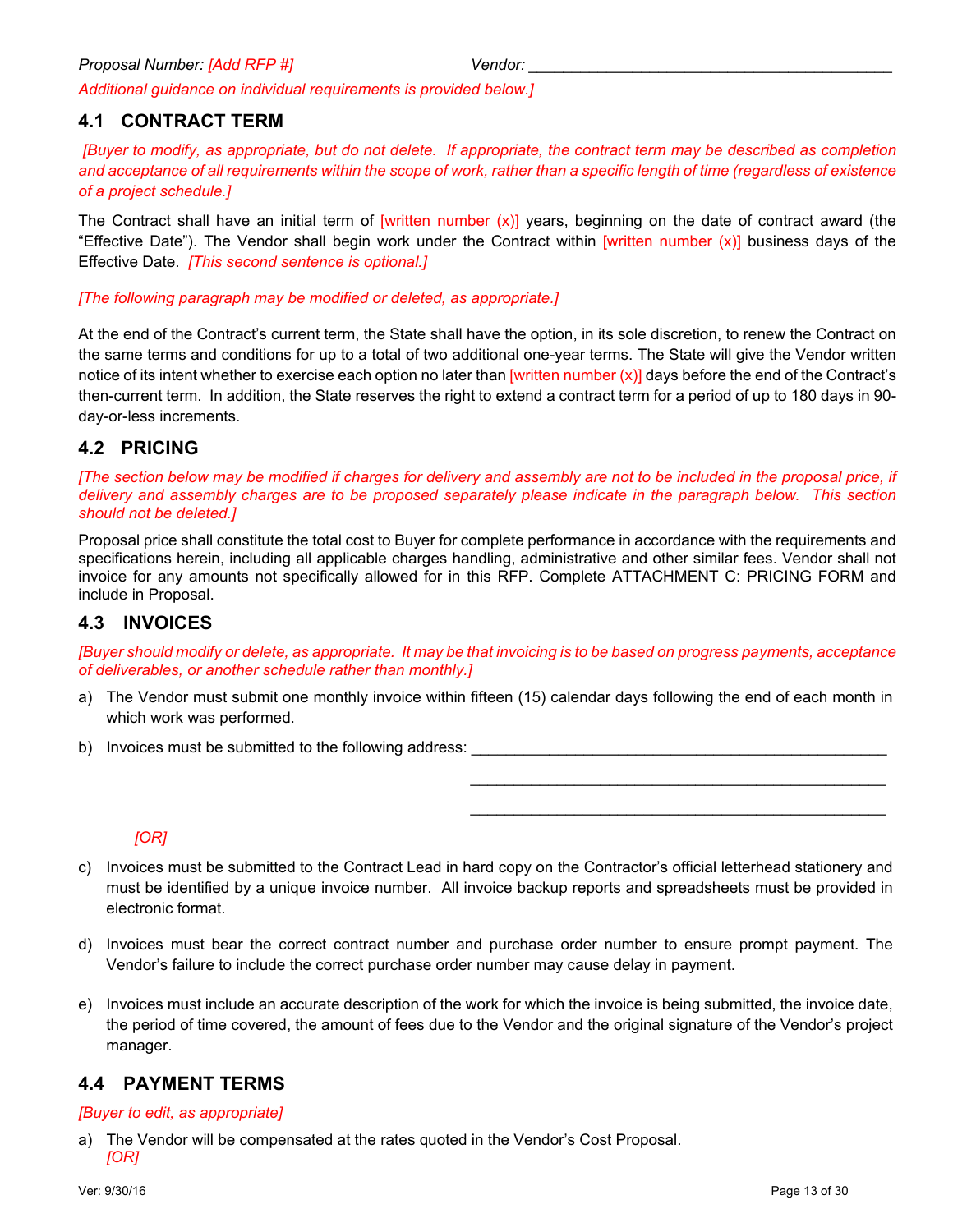*Additional guidance on individual requirements is provided below.]* 

## <span id="page-14-0"></span>**4.1 CONTRACT TERM**

*[Buyer to modify, as appropriate, but do not delete. If appropriate, the contract term may be described as completion and acceptance of all requirements within the scope of work, rather than a specific length of time (regardless of existence of a project schedule.]* 

The Contract shall have an initial term of [written number  $(x)$ ] years, beginning on the date of contract award (the "Effective Date"). The Vendor shall begin work under the Contract within [written number  $(x)$ ] business days of the Effective Date. *[This second sentence is optional.]*

*[The following paragraph may be modified or deleted, as appropriate.]*

At the end of the Contract's current term, the State shall have the option, in its sole discretion, to renew the Contract on the same terms and conditions for up to a total of two additional one-year terms. The State will give the Vendor written notice of its intent whether to exercise each option no later than  $[written number(x)]$  days before the end of the Contract's then-current term. In addition, the State reserves the right to extend a contract term for a period of up to 180 days in 90 day-or-less increments.

## <span id="page-14-1"></span>**4.2 PRICING**

*[The section below may be modified if charges for delivery and assembly are not to be included in the proposal price, if delivery and assembly charges are to be proposed separately please indicate in the paragraph below. This section should not be deleted.]*

Proposal price shall constitute the total cost to Buyer for complete performance in accordance with the requirements and specifications herein, including all applicable charges handling, administrative and other similar fees. Vendor shall not invoice for any amounts not specifically allowed for in this RFP. Complete ATTACHMENT C: PRICING FORM and include in Proposal.

## <span id="page-14-2"></span>**4.3 INVOICES**

*[Buyer should modify or delete, as appropriate. It may be that invoicing is to be based on progress payments, acceptance of deliverables, or another schedule rather than monthly.]* 

a) The Vendor must submit one monthly invoice within fifteen (15) calendar days following the end of each month in which work was performed.

> \_\_\_\_\_\_\_\_\_\_\_\_\_\_\_\_\_\_\_\_\_\_\_\_\_\_\_\_\_\_\_\_\_\_\_\_\_\_\_\_\_\_\_\_\_\_\_\_ \_\_\_\_\_\_\_\_\_\_\_\_\_\_\_\_\_\_\_\_\_\_\_\_\_\_\_\_\_\_\_\_\_\_\_\_\_\_\_\_\_\_\_\_\_\_\_\_

b) Invoices must be submitted to the following address:

#### *[OR]*

- c) Invoices must be submitted to the Contract Lead in hard copy on the Contractor's official letterhead stationery and must be identified by a unique invoice number. All invoice backup reports and spreadsheets must be provided in electronic format.
- d) Invoices must bear the correct contract number and purchase order number to ensure prompt payment. The Vendor's failure to include the correct purchase order number may cause delay in payment.
- e) Invoices must include an accurate description of the work for which the invoice is being submitted, the invoice date, the period of time covered, the amount of fees due to the Vendor and the original signature of the Vendor's project manager.

#### <span id="page-14-3"></span>**4.4 PAYMENT TERMS**

#### *[Buyer to edit, as appropriate]*

a) The Vendor will be compensated at the rates quoted in the Vendor's Cost Proposal. *[OR]*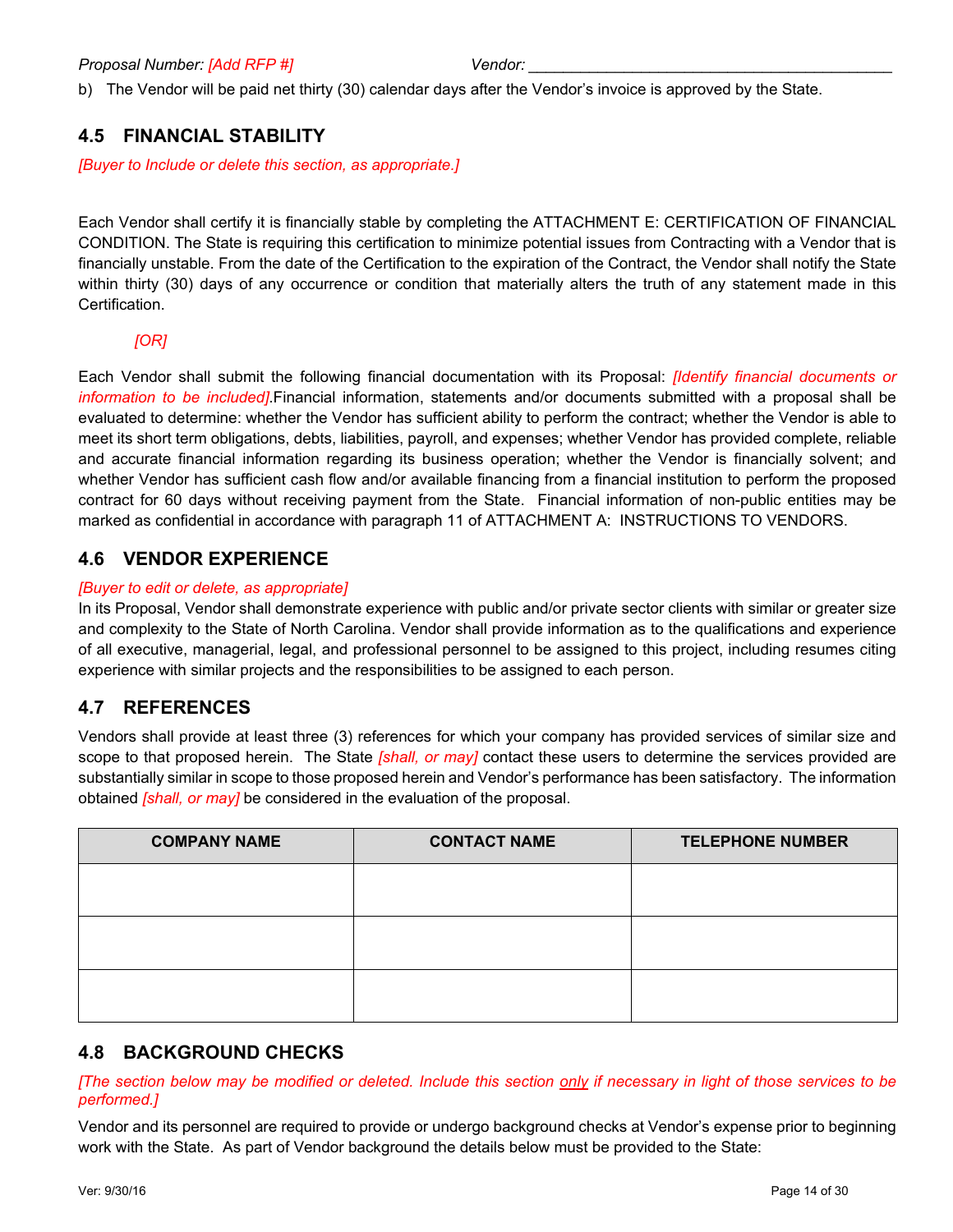b) The Vendor will be paid net thirty (30) calendar days after the Vendor's invoice is approved by the State.

## <span id="page-15-0"></span>**4.5 FINANCIAL STABILITY**

*[Buyer to Include or delete this section, as appropriate.]*

Each Vendor shall certify it is financially stable by completing the ATTACHMENT E: CERTIFICATION OF FINANCIAL CONDITION. The State is requiring this certification to minimize potential issues from Contracting with a Vendor that is financially unstable. From the date of the Certification to the expiration of the Contract, the Vendor shall notify the State within thirty (30) days of any occurrence or condition that materially alters the truth of any statement made in this Certification.

## *[OR]*

Each Vendor shall submit the following financial documentation with its Proposal: *[Identify financial documents or information to be included]*.Financial information, statements and/or documents submitted with a proposal shall be evaluated to determine: whether the Vendor has sufficient ability to perform the contract; whether the Vendor is able to meet its short term obligations, debts, liabilities, payroll, and expenses; whether Vendor has provided complete, reliable and accurate financial information regarding its business operation; whether the Vendor is financially solvent; and whether Vendor has sufficient cash flow and/or available financing from a financial institution to perform the proposed contract for 60 days without receiving payment from the State. Financial information of non-public entities may be marked as confidential in accordance with paragraph 11 of ATTACHMENT A: INSTRUCTIONS TO VENDORS.

#### <span id="page-15-1"></span>**4.6 VENDOR EXPERIENCE**

#### *[Buyer to edit or delete, as appropriate]*

In its Proposal, Vendor shall demonstrate experience with public and/or private sector clients with similar or greater size and complexity to the State of North Carolina. Vendor shall provide information as to the qualifications and experience of all executive, managerial, legal, and professional personnel to be assigned to this project, including resumes citing experience with similar projects and the responsibilities to be assigned to each person.

## <span id="page-15-2"></span>**4.7 REFERENCES**

Vendors shall provide at least three (3) references for which your company has provided services of similar size and scope to that proposed herein. The State *[shall, or may]* contact these users to determine the services provided are substantially similar in scope to those proposed herein and Vendor's performance has been satisfactory. The information obtained *[shall, or may]* be considered in the evaluation of the proposal.

| <b>COMPANY NAME</b> | <b>CONTACT NAME</b> | <b>TELEPHONE NUMBER</b> |
|---------------------|---------------------|-------------------------|
|                     |                     |                         |
|                     |                     |                         |
|                     |                     |                         |
|                     |                     |                         |
|                     |                     |                         |
|                     |                     |                         |

## <span id="page-15-3"></span>**4.8 BACKGROUND CHECKS**

*[The section below may be modified or deleted. Include this section only if necessary in light of those services to be performed.]* 

Vendor and its personnel are required to provide or undergo background checks at Vendor's expense prior to beginning work with the State. As part of Vendor background the details below must be provided to the State: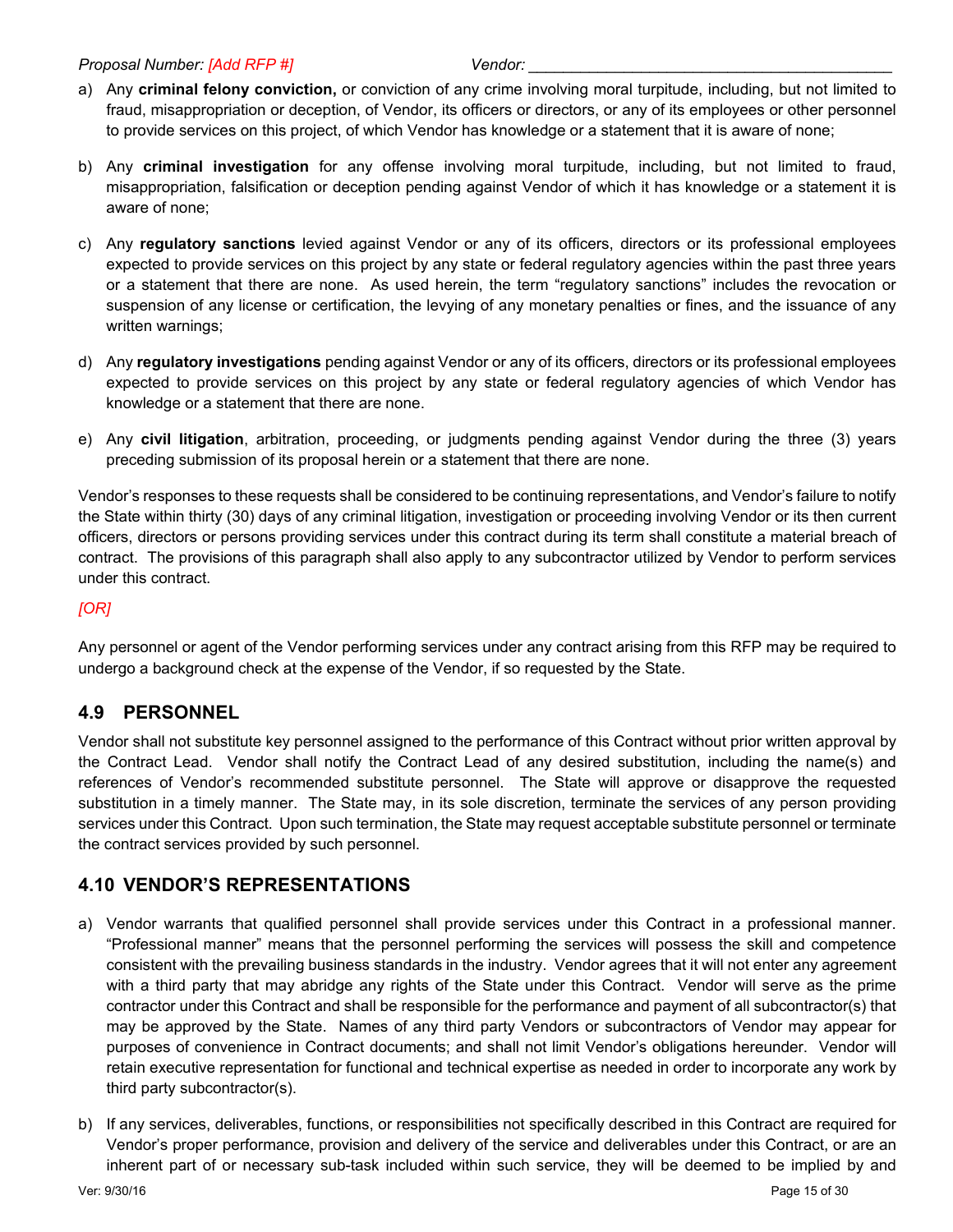- a) Any **criminal felony conviction,** or conviction of any crime involving moral turpitude, including, but not limited to fraud, misappropriation or deception, of Vendor, its officers or directors, or any of its employees or other personnel to provide services on this project, of which Vendor has knowledge or a statement that it is aware of none;
- b) Any **criminal investigation** for any offense involving moral turpitude, including, but not limited to fraud, misappropriation, falsification or deception pending against Vendor of which it has knowledge or a statement it is aware of none;
- c) Any **regulatory sanctions** levied against Vendor or any of its officers, directors or its professional employees expected to provide services on this project by any state or federal regulatory agencies within the past three years or a statement that there are none. As used herein, the term "regulatory sanctions" includes the revocation or suspension of any license or certification, the levying of any monetary penalties or fines, and the issuance of any written warnings;
- d) Any **regulatory investigations** pending against Vendor or any of its officers, directors or its professional employees expected to provide services on this project by any state or federal regulatory agencies of which Vendor has knowledge or a statement that there are none.
- e) Any **civil litigation**, arbitration, proceeding, or judgments pending against Vendor during the three (3) years preceding submission of its proposal herein or a statement that there are none.

Vendor's responses to these requests shall be considered to be continuing representations, and Vendor's failure to notify the State within thirty (30) days of any criminal litigation, investigation or proceeding involving Vendor or its then current officers, directors or persons providing services under this contract during its term shall constitute a material breach of contract. The provisions of this paragraph shall also apply to any subcontractor utilized by Vendor to perform services under this contract.

#### *[OR]*

Any personnel or agent of the Vendor performing services under any contract arising from this RFP may be required to undergo a background check at the expense of the Vendor, if so requested by the State.

## <span id="page-16-0"></span>**4.9 PERSONNEL**

Vendor shall not substitute key personnel assigned to the performance of this Contract without prior written approval by the Contract Lead. Vendor shall notify the Contract Lead of any desired substitution, including the name(s) and references of Vendor's recommended substitute personnel. The State will approve or disapprove the requested substitution in a timely manner. The State may, in its sole discretion, terminate the services of any person providing services under this Contract. Upon such termination, the State may request acceptable substitute personnel or terminate the contract services provided by such personnel.

## <span id="page-16-1"></span>**4.10 VENDOR'S REPRESENTATIONS**

- a) Vendor warrants that qualified personnel shall provide services under this Contract in a professional manner. "Professional manner" means that the personnel performing the services will possess the skill and competence consistent with the prevailing business standards in the industry. Vendor agrees that it will not enter any agreement with a third party that may abridge any rights of the State under this Contract. Vendor will serve as the prime contractor under this Contract and shall be responsible for the performance and payment of all subcontractor(s) that may be approved by the State. Names of any third party Vendors or subcontractors of Vendor may appear for purposes of convenience in Contract documents; and shall not limit Vendor's obligations hereunder. Vendor will retain executive representation for functional and technical expertise as needed in order to incorporate any work by third party subcontractor(s).
- b) If any services, deliverables, functions, or responsibilities not specifically described in this Contract are required for Vendor's proper performance, provision and delivery of the service and deliverables under this Contract, or are an inherent part of or necessary sub-task included within such service, they will be deemed to be implied by and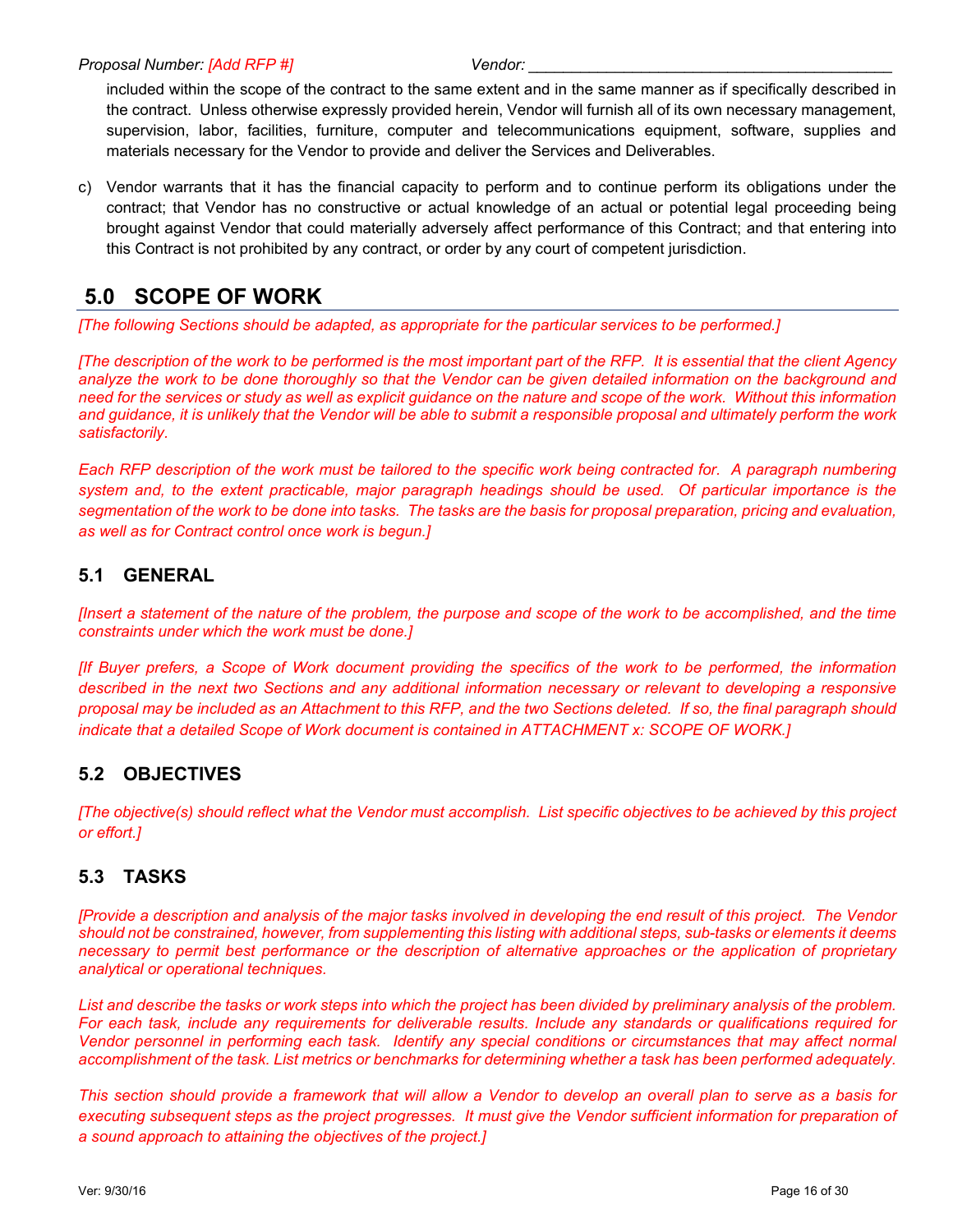included within the scope of the contract to the same extent and in the same manner as if specifically described in the contract. Unless otherwise expressly provided herein, Vendor will furnish all of its own necessary management, supervision, labor, facilities, furniture, computer and telecommunications equipment, software, supplies and materials necessary for the Vendor to provide and deliver the Services and Deliverables.

c) Vendor warrants that it has the financial capacity to perform and to continue perform its obligations under the contract; that Vendor has no constructive or actual knowledge of an actual or potential legal proceeding being brought against Vendor that could materially adversely affect performance of this Contract; and that entering into this Contract is not prohibited by any contract, or order by any court of competent jurisdiction.

## <span id="page-17-0"></span>**5.0 SCOPE OF WORK**

*[The following Sections should be adapted, as appropriate for the particular services to be performed.]*

*[The description of the work to be performed is the most important part of the RFP. It is essential that the client Agency*  analyze the work to be done thoroughly so that the Vendor can be given detailed information on the background and *need for the services or study as well as explicit guidance on the nature and scope of the work. Without this information and guidance, it is unlikely that the Vendor will be able to submit a responsible proposal and ultimately perform the work satisfactorily.*

*Each RFP description of the work must be tailored to the specific work being contracted for. A paragraph numbering system and, to the extent practicable, major paragraph headings should be used. Of particular importance is the segmentation of the work to be done into tasks. The tasks are the basis for proposal preparation, pricing and evaluation, as well as for Contract control once work is begun.]* 

## <span id="page-17-1"></span>**5.1 GENERAL**

*[Insert a statement of the nature of the problem, the purpose and scope of the work to be accomplished, and the time constraints under which the work must be done.]* 

*[If Buyer prefers, a Scope of Work document providing the specifics of the work to be performed, the information described in the next two Sections and any additional information necessary or relevant to developing a responsive proposal may be included as an Attachment to this RFP, and the two Sections deleted. If so, the final paragraph should indicate that a detailed Scope of Work document is contained in ATTACHMENT x: SCOPE OF WORK.]* 

## <span id="page-17-2"></span>**5.2 OBJECTIVES**

*[The objective(s) should reflect what the Vendor must accomplish. List specific objectives to be achieved by this project or effort.]*

## <span id="page-17-3"></span>**5.3 TASKS**

*[Provide a description and analysis of the major tasks involved in developing the end result of this project. The Vendor should not be constrained, however, from supplementing this listing with additional steps, sub-tasks or elements it deems necessary to permit best performance or the description of alternative approaches or the application of proprietary analytical or operational techniques.*

*List and describe the tasks or work steps into which the project has been divided by preliminary analysis of the problem. For each task, include any requirements for deliverable results. Include any standards or qualifications required for Vendor personnel in performing each task. Identify any special conditions or circumstances that may affect normal accomplishment of the task. List metrics or benchmarks for determining whether a task has been performed adequately.*

*This section should provide a framework that will allow a Vendor to develop an overall plan to serve as a basis for executing subsequent steps as the project progresses. It must give the Vendor sufficient information for preparation of a sound approach to attaining the objectives of the project.]*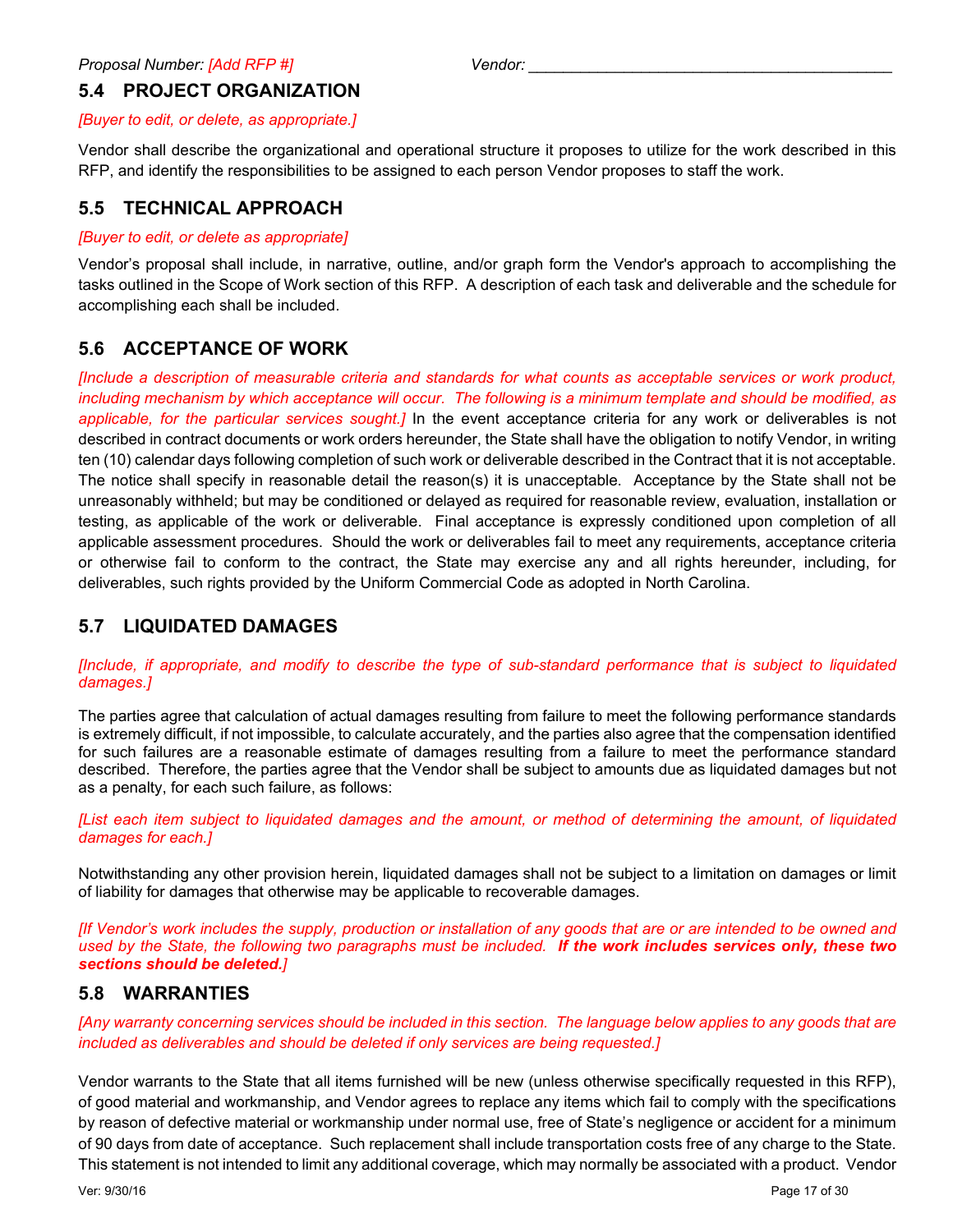## <span id="page-18-0"></span>**5.4 PROJECT ORGANIZATION**

#### *[Buyer to edit, or delete, as appropriate.]*

Vendor shall describe the organizational and operational structure it proposes to utilize for the work described in this RFP, and identify the responsibilities to be assigned to each person Vendor proposes to staff the work.

## <span id="page-18-1"></span>**5.5 TECHNICAL APPROACH**

#### *[Buyer to edit, or delete as appropriate]*

Vendor's proposal shall include, in narrative, outline, and/or graph form the Vendor's approach to accomplishing the tasks outlined in the Scope of Work section of this RFP. A description of each task and deliverable and the schedule for accomplishing each shall be included.

## <span id="page-18-2"></span>**5.6 ACCEPTANCE OF WORK**

*[Include a description of measurable criteria and standards for what counts as acceptable services or work product, including mechanism by which acceptance will occur. The following is a minimum template and should be modified, as applicable, for the particular services sought.]* In the event acceptance criteria for any work or deliverables is not described in contract documents or work orders hereunder, the State shall have the obligation to notify Vendor, in writing ten (10) calendar days following completion of such work or deliverable described in the Contract that it is not acceptable. The notice shall specify in reasonable detail the reason(s) it is unacceptable. Acceptance by the State shall not be unreasonably withheld; but may be conditioned or delayed as required for reasonable review, evaluation, installation or testing, as applicable of the work or deliverable. Final acceptance is expressly conditioned upon completion of all applicable assessment procedures. Should the work or deliverables fail to meet any requirements, acceptance criteria or otherwise fail to conform to the contract, the State may exercise any and all rights hereunder, including, for deliverables, such rights provided by the Uniform Commercial Code as adopted in North Carolina.

## <span id="page-18-3"></span>**5.7 LIQUIDATED DAMAGES**

*[Include, if appropriate, and modify to describe the type of sub-standard performance that is subject to liquidated damages.]*

The parties agree that calculation of actual damages resulting from failure to meet the following performance standards is extremely difficult, if not impossible, to calculate accurately, and the parties also agree that the compensation identified for such failures are a reasonable estimate of damages resulting from a failure to meet the performance standard described. Therefore, the parties agree that the Vendor shall be subject to amounts due as liquidated damages but not as a penalty, for each such failure, as follows:

*[List each item subject to liquidated damages and the amount, or method of determining the amount, of liquidated damages for each.]*

Notwithstanding any other provision herein, liquidated damages shall not be subject to a limitation on damages or limit of liability for damages that otherwise may be applicable to recoverable damages.

*[If Vendor's work includes the supply, production or installation of any goods that are or are intended to be owned and used by the State, the following two paragraphs must be included. If the work includes services only, these two sections should be deleted.]* 

#### <span id="page-18-4"></span>**5.8 WARRANTIES**

*[Any warranty concerning services should be included in this section. The language below applies to any goods that are included as deliverables and should be deleted if only services are being requested.]*

Vendor warrants to the State that all items furnished will be new (unless otherwise specifically requested in this RFP), of good material and workmanship, and Vendor agrees to replace any items which fail to comply with the specifications by reason of defective material or workmanship under normal use, free of State's negligence or accident for a minimum of 90 days from date of acceptance. Such replacement shall include transportation costs free of any charge to the State. This statement is not intended to limit any additional coverage, which may normally be associated with a product. Vendor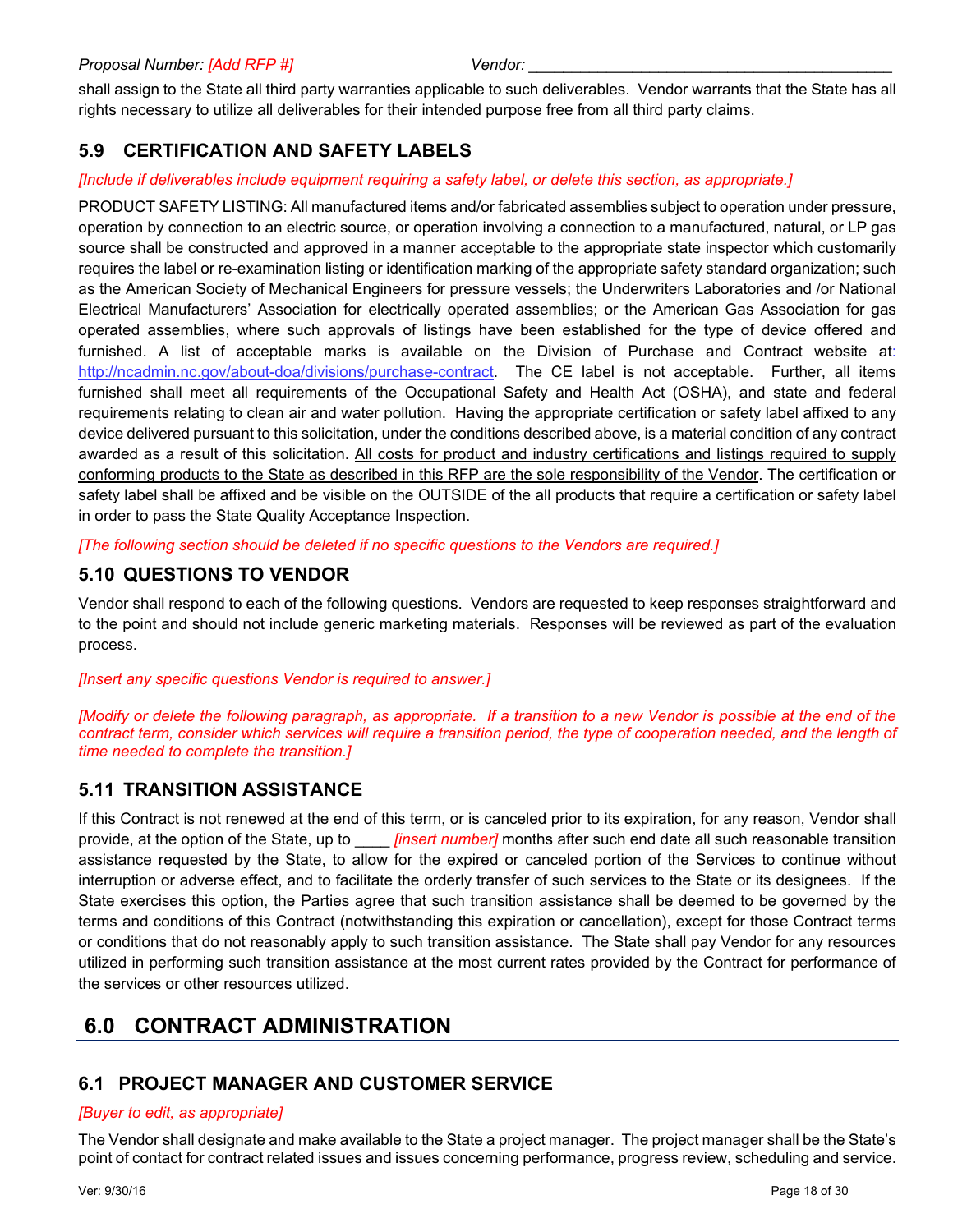shall assign to the State all third party warranties applicable to such deliverables. Vendor warrants that the State has all rights necessary to utilize all deliverables for their intended purpose free from all third party claims.

## <span id="page-19-0"></span>**5.9 CERTIFICATION AND SAFETY LABELS**

#### *[Include if deliverables include equipment requiring a safety label, or delete this section, as appropriate.]*

PRODUCT SAFETY LISTING: All manufactured items and/or fabricated assemblies subject to operation under pressure, operation by connection to an electric source, or operation involving a connection to a manufactured, natural, or LP gas source shall be constructed and approved in a manner acceptable to the appropriate state inspector which customarily requires the label or re-examination listing or identification marking of the appropriate safety standard organization; such as the American Society of Mechanical Engineers for pressure vessels; the Underwriters Laboratories and /or National Electrical Manufacturers' Association for electrically operated assemblies; or the American Gas Association for gas operated assemblies, where such approvals of listings have been established for the type of device offered and furnished. A list of acceptable marks is available on the Division of Purchase and Contract website at: [http://ncadmin.nc.gov/about-doa/divisions/purchase-contract.](http://ncadmin.nc.gov/about-doa/divisions/purchase-contract) The CE label is not acceptable. Further, all items furnished shall meet all requirements of the Occupational Safety and Health Act (OSHA), and state and federal requirements relating to clean air and water pollution. Having the appropriate certification or safety label affixed to any device delivered pursuant to this solicitation, under the conditions described above, is a material condition of any contract awarded as a result of this solicitation. All costs for product and industry certifications and listings required to supply conforming products to the State as described in this RFP are the sole responsibility of the Vendor. The certification or safety label shall be affixed and be visible on the OUTSIDE of the all products that require a certification or safety label in order to pass the State Quality Acceptance Inspection.

*[The following section should be deleted if no specific questions to the Vendors are required.]*

## <span id="page-19-1"></span>**5.10 QUESTIONS TO VENDOR**

Vendor shall respond to each of the following questions. Vendors are requested to keep responses straightforward and to the point and should not include generic marketing materials. Responses will be reviewed as part of the evaluation process.

#### *[Insert any specific questions Vendor is required to answer.]*

*[Modify or delete the following paragraph, as appropriate. If a transition to a new Vendor is possible at the end of the*  contract term, consider which services will require a transition period, the type of cooperation needed, and the length of *time needed to complete the transition.]*

## <span id="page-19-2"></span>**5.11 TRANSITION ASSISTANCE**

If this Contract is not renewed at the end of this term, or is canceled prior to its expiration, for any reason, Vendor shall provide, at the option of the State, up to \_\_\_\_ *[insert number]* months after such end date all such reasonable transition assistance requested by the State, to allow for the expired or canceled portion of the Services to continue without interruption or adverse effect, and to facilitate the orderly transfer of such services to the State or its designees. If the State exercises this option, the Parties agree that such transition assistance shall be deemed to be governed by the terms and conditions of this Contract (notwithstanding this expiration or cancellation), except for those Contract terms or conditions that do not reasonably apply to such transition assistance. The State shall pay Vendor for any resources utilized in performing such transition assistance at the most current rates provided by the Contract for performance of the services or other resources utilized.

## <span id="page-19-3"></span>**6.0 CONTRACT ADMINISTRATION**

## <span id="page-19-4"></span>**6.1 PROJECT MANAGER AND CUSTOMER SERVICE**

#### *[Buyer to edit, as appropriate]*

The Vendor shall designate and make available to the State a project manager. The project manager shall be the State's point of contact for contract related issues and issues concerning performance, progress review, scheduling and service.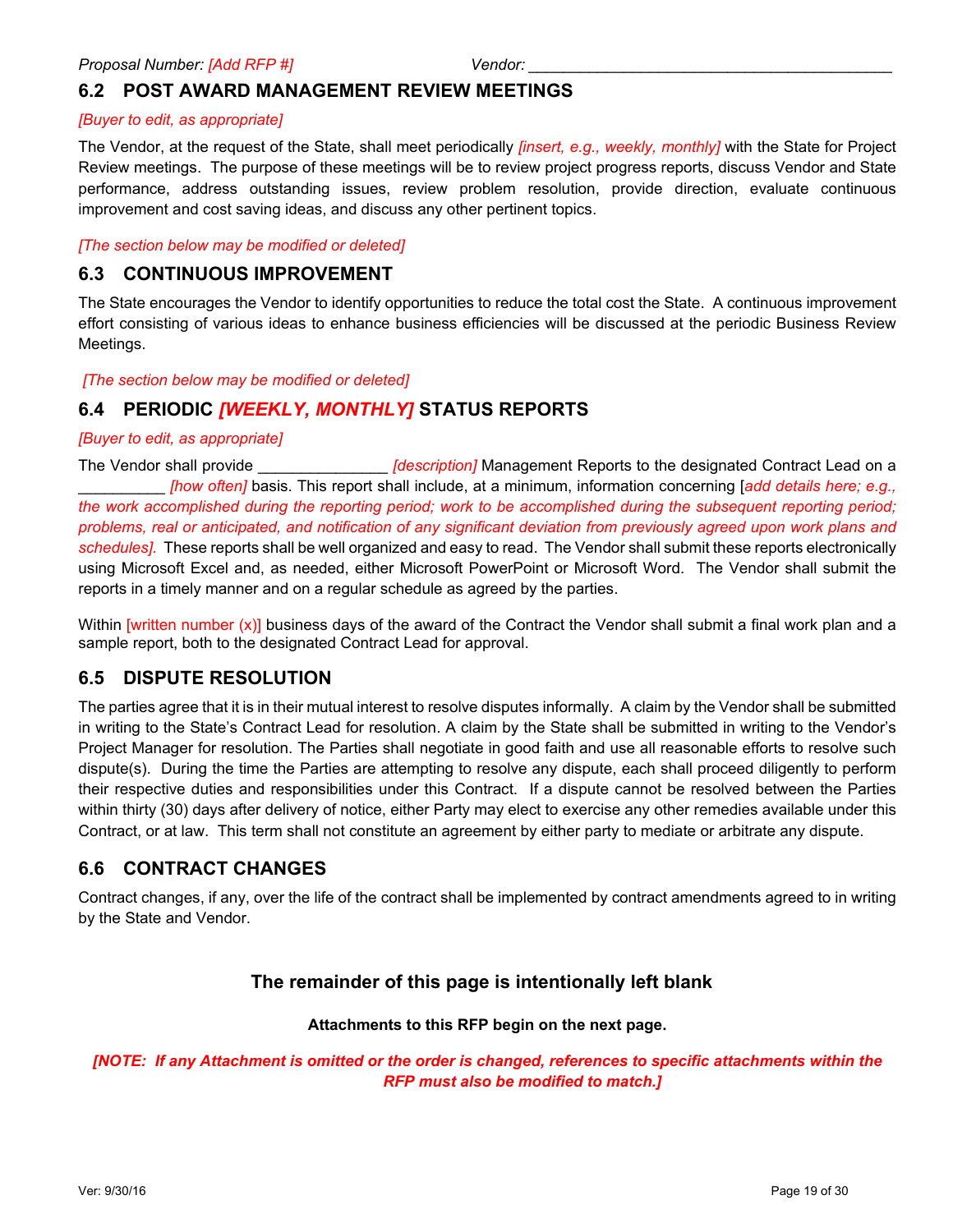## <span id="page-20-0"></span>**6.2 POST AWARD MANAGEMENT REVIEW MEETINGS**

#### *[Buyer to edit, as appropriate]*

The Vendor, at the request of the State, shall meet periodically *[insert, e.g., weekly, monthly]* with the State for Project Review meetings. The purpose of these meetings will be to review project progress reports, discuss Vendor and State performance, address outstanding issues, review problem resolution, provide direction, evaluate continuous improvement and cost saving ideas, and discuss any other pertinent topics.

#### *[The section below may be modified or deleted]*

#### <span id="page-20-1"></span>**6.3 CONTINUOUS IMPROVEMENT**

The State encourages the Vendor to identify opportunities to reduce the total cost the State. A continuous improvement effort consisting of various ideas to enhance business efficiencies will be discussed at the periodic Business Review Meetings.

#### *[The section below may be modified or deleted]*

## <span id="page-20-2"></span>**6.4 PERIODIC** *[WEEKLY, MONTHLY]* **STATUS REPORTS**

#### *[Buyer to edit, as appropriate]*

The Vendor shall provide \_\_\_\_\_\_\_\_\_\_\_\_\_\_\_\_\_\_*[description]* Management Reports to the designated Contract Lead on a \_\_\_\_\_\_\_\_\_\_ *[how often]* basis. This report shall include, at a minimum, information concerning [*add details here; e.g., the work accomplished during the reporting period; work to be accomplished during the subsequent reporting period; problems, real or anticipated, and notification of any significant deviation from previously agreed upon work plans and schedules].* These reports shall be well organized and easy to read. The Vendor shall submit these reports electronically using Microsoft Excel and, as needed, either Microsoft PowerPoint or Microsoft Word. The Vendor shall submit the reports in a timely manner and on a regular schedule as agreed by the parties.

Within [written number (x)] business days of the award of the Contract the Vendor shall submit a final work plan and a sample report, both to the designated Contract Lead for approval.

## <span id="page-20-3"></span>**6.5 DISPUTE RESOLUTION**

The parties agree that it is in their mutual interest to resolve disputes informally. A claim by the Vendor shall be submitted in writing to the State's Contract Lead for resolution. A claim by the State shall be submitted in writing to the Vendor's Project Manager for resolution. The Parties shall negotiate in good faith and use all reasonable efforts to resolve such dispute(s). During the time the Parties are attempting to resolve any dispute, each shall proceed diligently to perform their respective duties and responsibilities under this Contract. If a dispute cannot be resolved between the Parties within thirty (30) days after delivery of notice, either Party may elect to exercise any other remedies available under this Contract, or at law. This term shall not constitute an agreement by either party to mediate or arbitrate any dispute.

## <span id="page-20-4"></span>**6.6 CONTRACT CHANGES**

Contract changes, if any, over the life of the contract shall be implemented by contract amendments agreed to in writing by the State and Vendor.

## **The remainder of this page is intentionally left blank**

#### **Attachments to this RFP begin on the next page.**

#### *[NOTE: If any Attachment is omitted or the order is changed, references to specific attachments within the RFP must also be modified to match.]*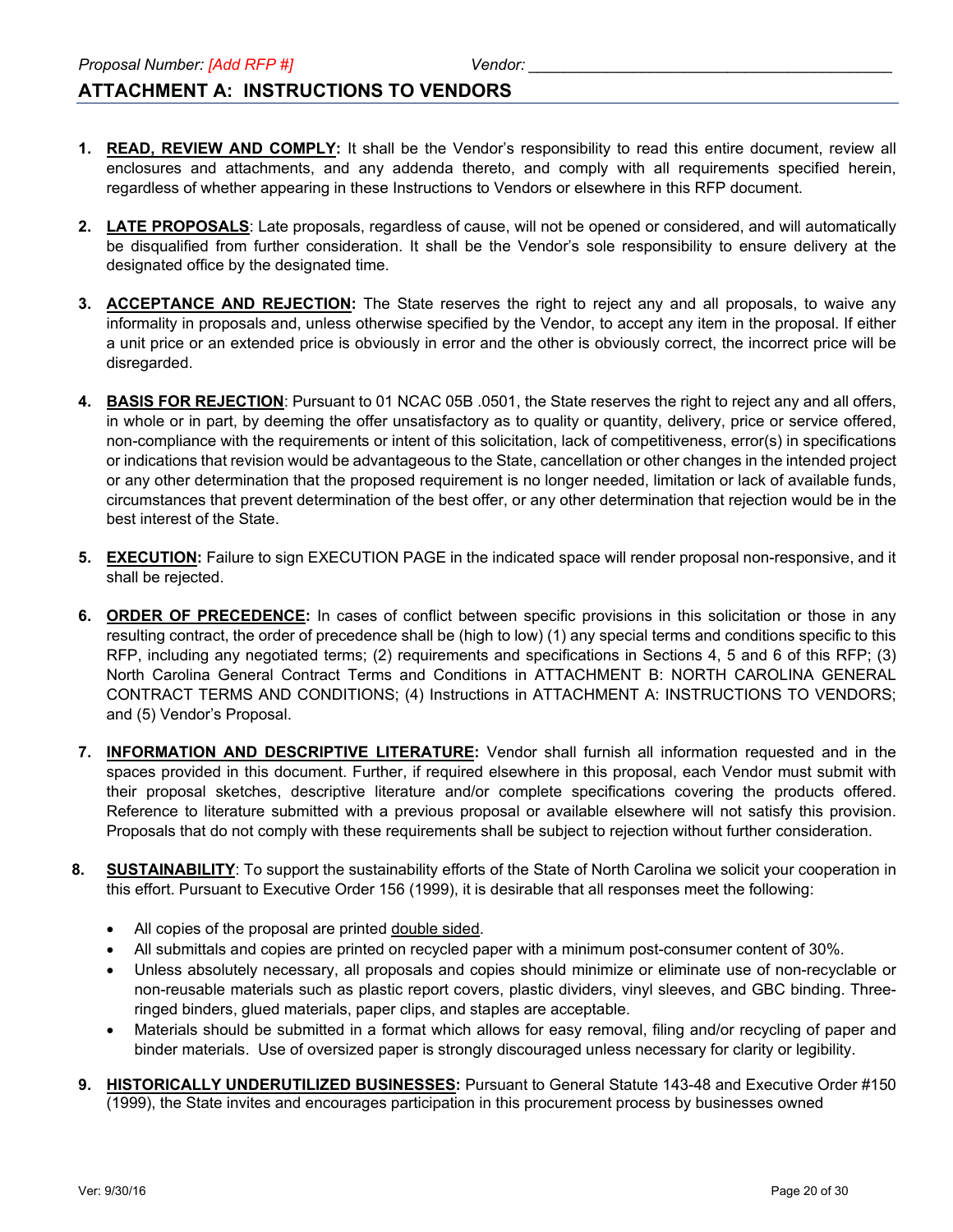## <span id="page-21-0"></span>**ATTACHMENT A: INSTRUCTIONS TO VENDORS**

- **1. READ, REVIEW AND COMPLY:** It shall be the Vendor's responsibility to read this entire document, review all enclosures and attachments, and any addenda thereto, and comply with all requirements specified herein, regardless of whether appearing in these Instructions to Vendors or elsewhere in this RFP document.
- **2. LATE PROPOSALS**: Late proposals, regardless of cause, will not be opened or considered, and will automatically be disqualified from further consideration. It shall be the Vendor's sole responsibility to ensure delivery at the designated office by the designated time.
- **3. ACCEPTANCE AND REJECTION:** The State reserves the right to reject any and all proposals, to waive any informality in proposals and, unless otherwise specified by the Vendor, to accept any item in the proposal. If either a unit price or an extended price is obviously in error and the other is obviously correct, the incorrect price will be disregarded.
- **4. BASIS FOR REJECTION**: Pursuant to 01 NCAC 05B .0501, the State reserves the right to reject any and all offers, in whole or in part, by deeming the offer unsatisfactory as to quality or quantity, delivery, price or service offered, non-compliance with the requirements or intent of this solicitation, lack of competitiveness, error(s) in specifications or indications that revision would be advantageous to the State, cancellation or other changes in the intended project or any other determination that the proposed requirement is no longer needed, limitation or lack of available funds, circumstances that prevent determination of the best offer, or any other determination that rejection would be in the best interest of the State.
- **5. EXECUTION:** Failure to sign EXECUTION PAGE in the indicated space will render proposal non-responsive, and it shall be rejected.
- **6. ORDER OF PRECEDENCE:** In cases of conflict between specific provisions in this solicitation or those in any resulting contract, the order of precedence shall be (high to low) (1) any special terms and conditions specific to this RFP, including any negotiated terms; (2) requirements and specifications in Sections 4, 5 and 6 of this RFP; (3) North Carolina General Contract Terms and Conditions in ATTACHMENT B: NORTH CAROLINA GENERAL CONTRACT TERMS AND CONDITIONS; (4) Instructions in ATTACHMENT A: INSTRUCTIONS TO VENDORS; and (5) Vendor's Proposal.
- **7. INFORMATION AND DESCRIPTIVE LITERATURE:** Vendor shall furnish all information requested and in the spaces provided in this document. Further, if required elsewhere in this proposal, each Vendor must submit with their proposal sketches, descriptive literature and/or complete specifications covering the products offered. Reference to literature submitted with a previous proposal or available elsewhere will not satisfy this provision. Proposals that do not comply with these requirements shall be subject to rejection without further consideration.
- **8. SUSTAINABILITY**: To support the sustainability efforts of the State of North Carolina we solicit your cooperation in this effort. Pursuant to Executive Order 156 (1999), it is desirable that all responses meet the following:
	- All copies of the proposal are printed double sided.
	- All submittals and copies are printed on recycled paper with a minimum post-consumer content of 30%.
	- Unless absolutely necessary, all proposals and copies should minimize or eliminate use of non-recyclable or non-reusable materials such as plastic report covers, plastic dividers, vinyl sleeves, and GBC binding. Threeringed binders, glued materials, paper clips, and staples are acceptable.
	- Materials should be submitted in a format which allows for easy removal, filing and/or recycling of paper and binder materials. Use of oversized paper is strongly discouraged unless necessary for clarity or legibility.
- **9. HISTORICALLY UNDERUTILIZED BUSINESSES:** Pursuant to General Statute 143-48 and Executive Order #150 (1999), the State invites and encourages participation in this procurement process by businesses owned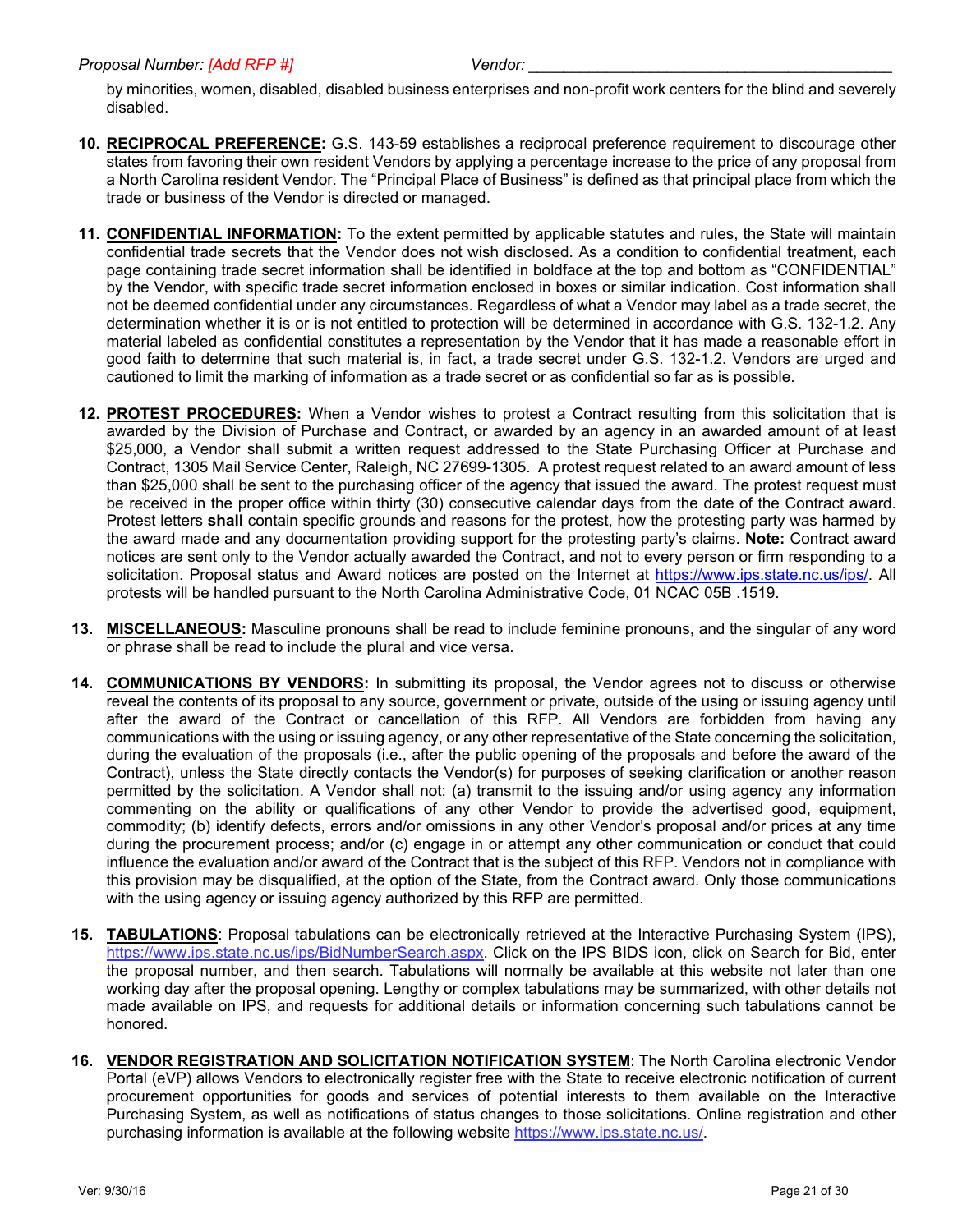by minorities, women, disabled, disabled business enterprises and non-profit work centers for the blind and severely disabled.

- **10. RECIPROCAL PREFERENCE:** G.S. 143-59 establishes a reciprocal preference requirement to discourage other states from favoring their own resident Vendors by applying a percentage increase to the price of any proposal from a North Carolina resident Vendor. The "Principal Place of Business" is defined as that principal place from which the trade or business of the Vendor is directed or managed.
- **11. CONFIDENTIAL INFORMATION:** To the extent permitted by applicable statutes and rules, the State will maintain confidential trade secrets that the Vendor does not wish disclosed. As a condition to confidential treatment, each page containing trade secret information shall be identified in boldface at the top and bottom as "CONFIDENTIAL" by the Vendor, with specific trade secret information enclosed in boxes or similar indication. Cost information shall not be deemed confidential under any circumstances. Regardless of what a Vendor may label as a trade secret, the determination whether it is or is not entitled to protection will be determined in accordance with G.S. 132-1.2. Any material labeled as confidential constitutes a representation by the Vendor that it has made a reasonable effort in good faith to determine that such material is, in fact, a trade secret under G.S. 132-1.2. Vendors are urged and cautioned to limit the marking of information as a trade secret or as confidential so far as is possible.
- **12. PROTEST PROCEDURES:** When a Vendor wishes to protest a Contract resulting from this solicitation that is awarded by the Division of Purchase and Contract, or awarded by an agency in an awarded amount of at least \$25,000, a Vendor shall submit a written request addressed to the State Purchasing Officer at Purchase and Contract, 1305 Mail Service Center, Raleigh, NC 27699-1305. A protest request related to an award amount of less than \$25,000 shall be sent to the purchasing officer of the agency that issued the award. The protest request must be received in the proper office within thirty (30) consecutive calendar days from the date of the Contract award. Protest letters **shall** contain specific grounds and reasons for the protest, how the protesting party was harmed by the award made and any documentation providing support for the protesting party's claims. **Note:** Contract award notices are sent only to the Vendor actually awarded the Contract, and not to every person or firm responding to a solicitation. Proposal status and Award notices are posted on the Internet at [https://www.ips.state.nc.us/ips/.](https://www.ips.state.nc.us/ips/) All protests will be handled pursuant to the North Carolina Administrative Code, 01 NCAC 05B .1519.
- **13. MISCELLANEOUS:** Masculine pronouns shall be read to include feminine pronouns, and the singular of any word or phrase shall be read to include the plural and vice versa.
- **14. COMMUNICATIONS BY VENDORS:** In submitting its proposal, the Vendor agrees not to discuss or otherwise reveal the contents of its proposal to any source, government or private, outside of the using or issuing agency until after the award of the Contract or cancellation of this RFP. All Vendors are forbidden from having any communications with the using or issuing agency, or any other representative of the State concerning the solicitation, during the evaluation of the proposals (i.e., after the public opening of the proposals and before the award of the Contract), unless the State directly contacts the Vendor(s) for purposes of seeking clarification or another reason permitted by the solicitation. A Vendor shall not: (a) transmit to the issuing and/or using agency any information commenting on the ability or qualifications of any other Vendor to provide the advertised good, equipment, commodity; (b) identify defects, errors and/or omissions in any other Vendor's proposal and/or prices at any time during the procurement process; and/or (c) engage in or attempt any other communication or conduct that could influence the evaluation and/or award of the Contract that is the subject of this RFP. Vendors not in compliance with this provision may be disqualified, at the option of the State, from the Contract award. Only those communications with the using agency or issuing agency authorized by this RFP are permitted.
- **15. TABULATIONS**: Proposal tabulations can be electronically retrieved at the Interactive Purchasing System (IPS), [https://www.ips.state.nc.us/ips/BidNumberSearch.aspx.](https://www.ips.state.nc.us/ips/BidNumberSearch.aspx) Click on the IPS BIDS icon, click on Search for Bid, enter the proposal number, and then search. Tabulations will normally be available at this website not later than one working day after the proposal opening. Lengthy or complex tabulations may be summarized, with other details not made available on IPS, and requests for additional details or information concerning such tabulations cannot be honored.
- **16. VENDOR REGISTRATION AND SOLICITATION NOTIFICATION SYSTEM**: The North Carolina electronic Vendor Portal (eVP) allows Vendors to electronically register free with the State to receive electronic notification of current procurement opportunities for goods and services of potential interests to them available on the Interactive Purchasing System, as well as notifications of status changes to those solicitations. Online registration and other purchasing information is available at the following website [https://www.ips.state.nc.us/.](https://www.ips.state.nc.us/)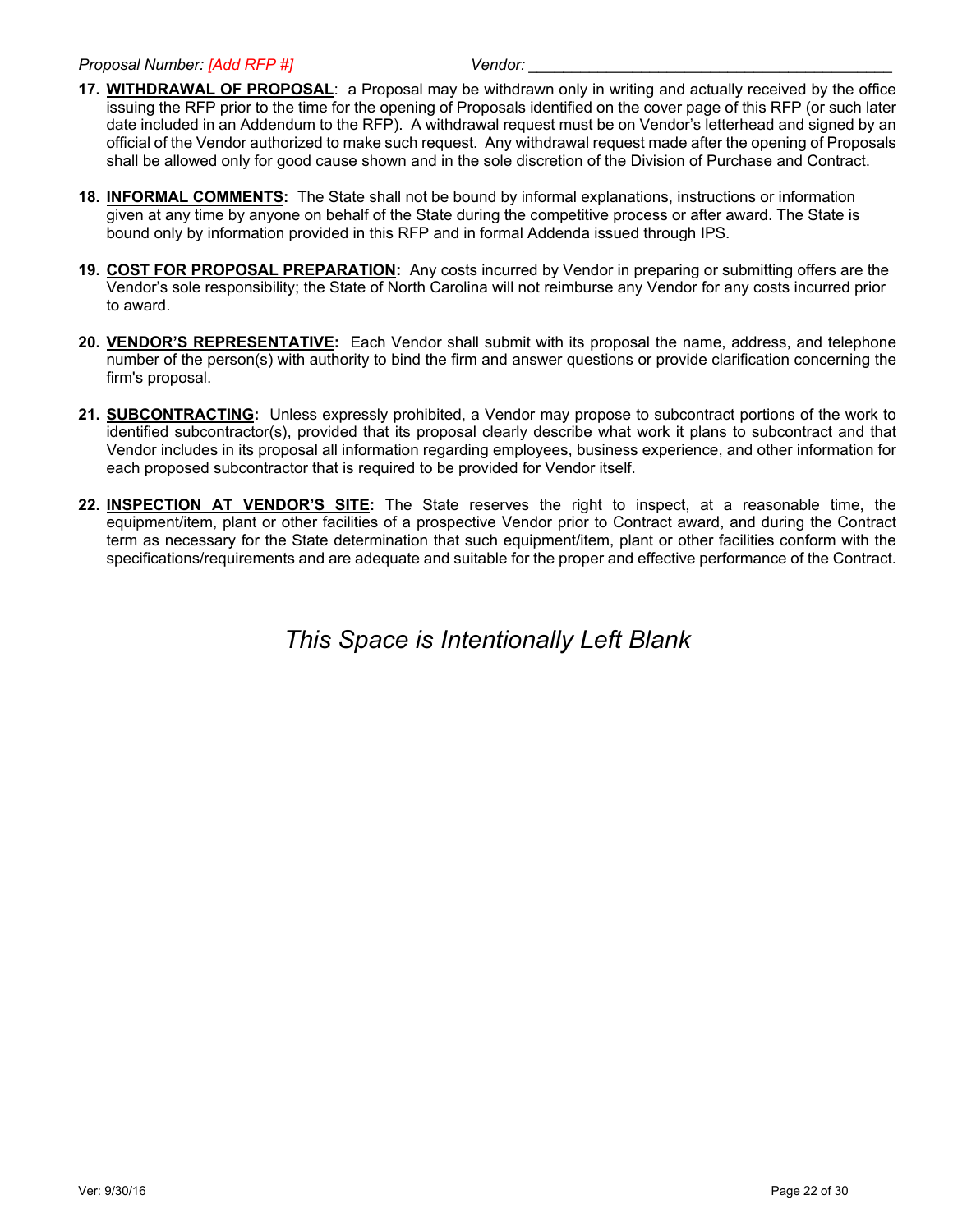- **17. WITHDRAWAL OF PROPOSAL**: a Proposal may be withdrawn only in writing and actually received by the office issuing the RFP prior to the time for the opening of Proposals identified on the cover page of this RFP (or such later date included in an Addendum to the RFP). A withdrawal request must be on Vendor's letterhead and signed by an official of the Vendor authorized to make such request. Any withdrawal request made after the opening of Proposals shall be allowed only for good cause shown and in the sole discretion of the Division of Purchase and Contract.
- **18. INFORMAL COMMENTS:** The State shall not be bound by informal explanations, instructions or information given at any time by anyone on behalf of the State during the competitive process or after award. The State is bound only by information provided in this RFP and in formal Addenda issued through IPS.
- **19. COST FOR PROPOSAL PREPARATION:** Any costs incurred by Vendor in preparing or submitting offers are the Vendor's sole responsibility; the State of North Carolina will not reimburse any Vendor for any costs incurred prior to award.
- **20. VENDOR'S REPRESENTATIVE:** Each Vendor shall submit with its proposal the name, address, and telephone number of the person(s) with authority to bind the firm and answer questions or provide clarification concerning the firm's proposal.
- **21. SUBCONTRACTING:** Unless expressly prohibited, a Vendor may propose to subcontract portions of the work to identified subcontractor(s), provided that its proposal clearly describe what work it plans to subcontract and that Vendor includes in its proposal all information regarding employees, business experience, and other information for each proposed subcontractor that is required to be provided for Vendor itself.
- **22. INSPECTION AT VENDOR'S SITE:** The State reserves the right to inspect, at a reasonable time, the equipment/item, plant or other facilities of a prospective Vendor prior to Contract award, and during the Contract term as necessary for the State determination that such equipment/item, plant or other facilities conform with the specifications/requirements and are adequate and suitable for the proper and effective performance of the Contract.

*This Space is Intentionally Left Blank*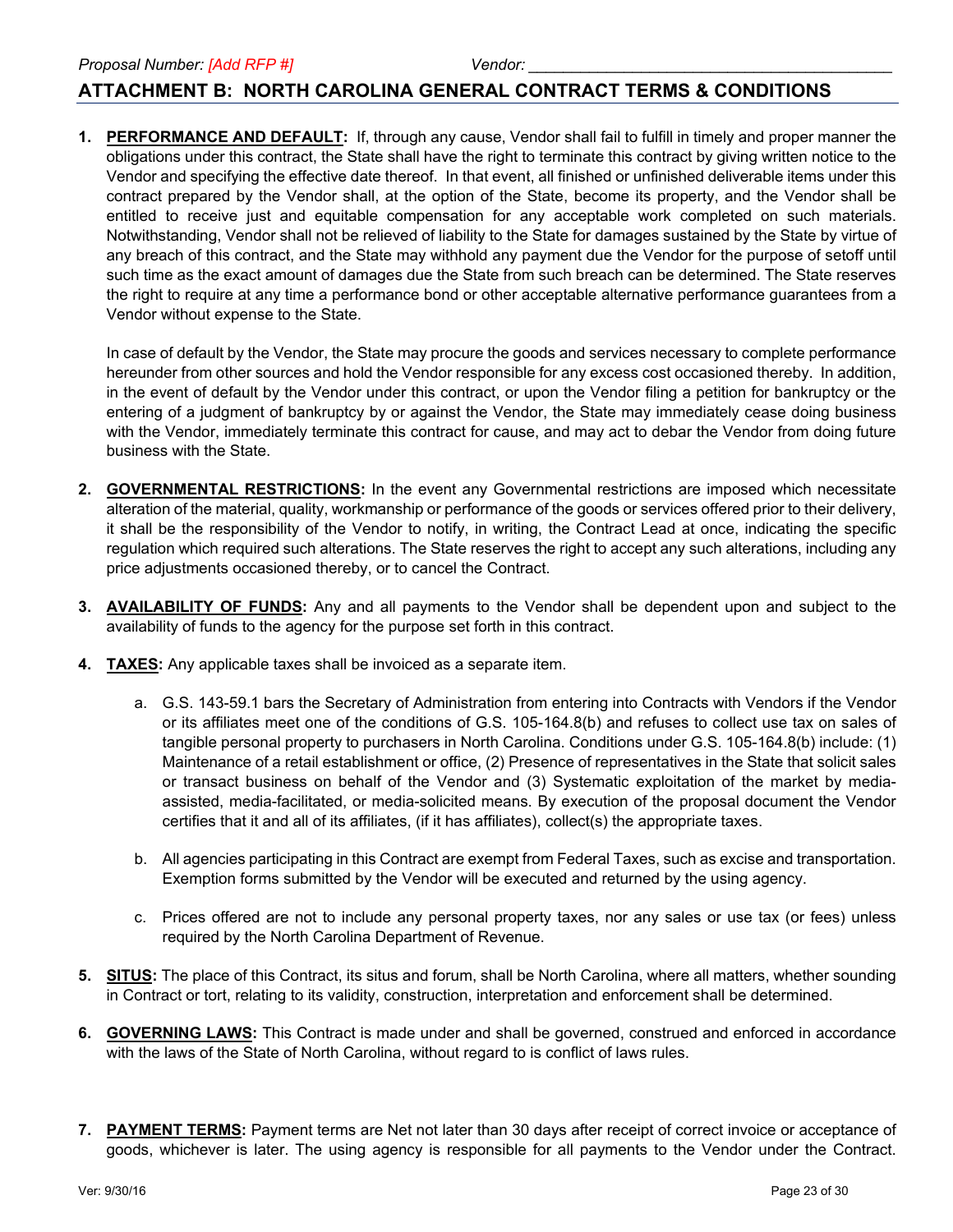#### <span id="page-24-0"></span>**ATTACHMENT B: NORTH CAROLINA GENERAL CONTRACT TERMS & CONDITIONS**

**1. PERFORMANCE AND DEFAULT:** If, through any cause, Vendor shall fail to fulfill in timely and proper manner the obligations under this contract, the State shall have the right to terminate this contract by giving written notice to the Vendor and specifying the effective date thereof. In that event, all finished or unfinished deliverable items under this contract prepared by the Vendor shall, at the option of the State, become its property, and the Vendor shall be entitled to receive just and equitable compensation for any acceptable work completed on such materials. Notwithstanding, Vendor shall not be relieved of liability to the State for damages sustained by the State by virtue of any breach of this contract, and the State may withhold any payment due the Vendor for the purpose of setoff until such time as the exact amount of damages due the State from such breach can be determined. The State reserves the right to require at any time a performance bond or other acceptable alternative performance guarantees from a Vendor without expense to the State.

In case of default by the Vendor, the State may procure the goods and services necessary to complete performance hereunder from other sources and hold the Vendor responsible for any excess cost occasioned thereby. In addition, in the event of default by the Vendor under this contract, or upon the Vendor filing a petition for bankruptcy or the entering of a judgment of bankruptcy by or against the Vendor, the State may immediately cease doing business with the Vendor, immediately terminate this contract for cause, and may act to debar the Vendor from doing future business with the State.

- **2. GOVERNMENTAL RESTRICTIONS:** In the event any Governmental restrictions are imposed which necessitate alteration of the material, quality, workmanship or performance of the goods or services offered prior to their delivery, it shall be the responsibility of the Vendor to notify, in writing, the Contract Lead at once, indicating the specific regulation which required such alterations. The State reserves the right to accept any such alterations, including any price adjustments occasioned thereby, or to cancel the Contract.
- **3. AVAILABILITY OF FUNDS:** Any and all payments to the Vendor shall be dependent upon and subject to the availability of funds to the agency for the purpose set forth in this contract.
- **4. TAXES:** Any applicable taxes shall be invoiced as a separate item.
	- a. G.S. 143-59.1 bars the Secretary of Administration from entering into Contracts with Vendors if the Vendor or its affiliates meet one of the conditions of G.S. 105-164.8(b) and refuses to collect use tax on sales of tangible personal property to purchasers in North Carolina. Conditions under G.S. 105-164.8(b) include: (1) Maintenance of a retail establishment or office, (2) Presence of representatives in the State that solicit sales or transact business on behalf of the Vendor and (3) Systematic exploitation of the market by mediaassisted, media-facilitated, or media-solicited means. By execution of the proposal document the Vendor certifies that it and all of its affiliates, (if it has affiliates), collect(s) the appropriate taxes.
	- b. All agencies participating in this Contract are exempt from Federal Taxes, such as excise and transportation. Exemption forms submitted by the Vendor will be executed and returned by the using agency.
	- c. Prices offered are not to include any personal property taxes, nor any sales or use tax (or fees) unless required by the North Carolina Department of Revenue.
- **5. SITUS:** The place of this Contract, its situs and forum, shall be North Carolina, where all matters, whether sounding in Contract or tort, relating to its validity, construction, interpretation and enforcement shall be determined.
- **6. GOVERNING LAWS:** This Contract is made under and shall be governed, construed and enforced in accordance with the laws of the State of North Carolina, without regard to is conflict of laws rules.
- **7. PAYMENT TERMS:** Payment terms are Net not later than 30 days after receipt of correct invoice or acceptance of goods, whichever is later. The using agency is responsible for all payments to the Vendor under the Contract.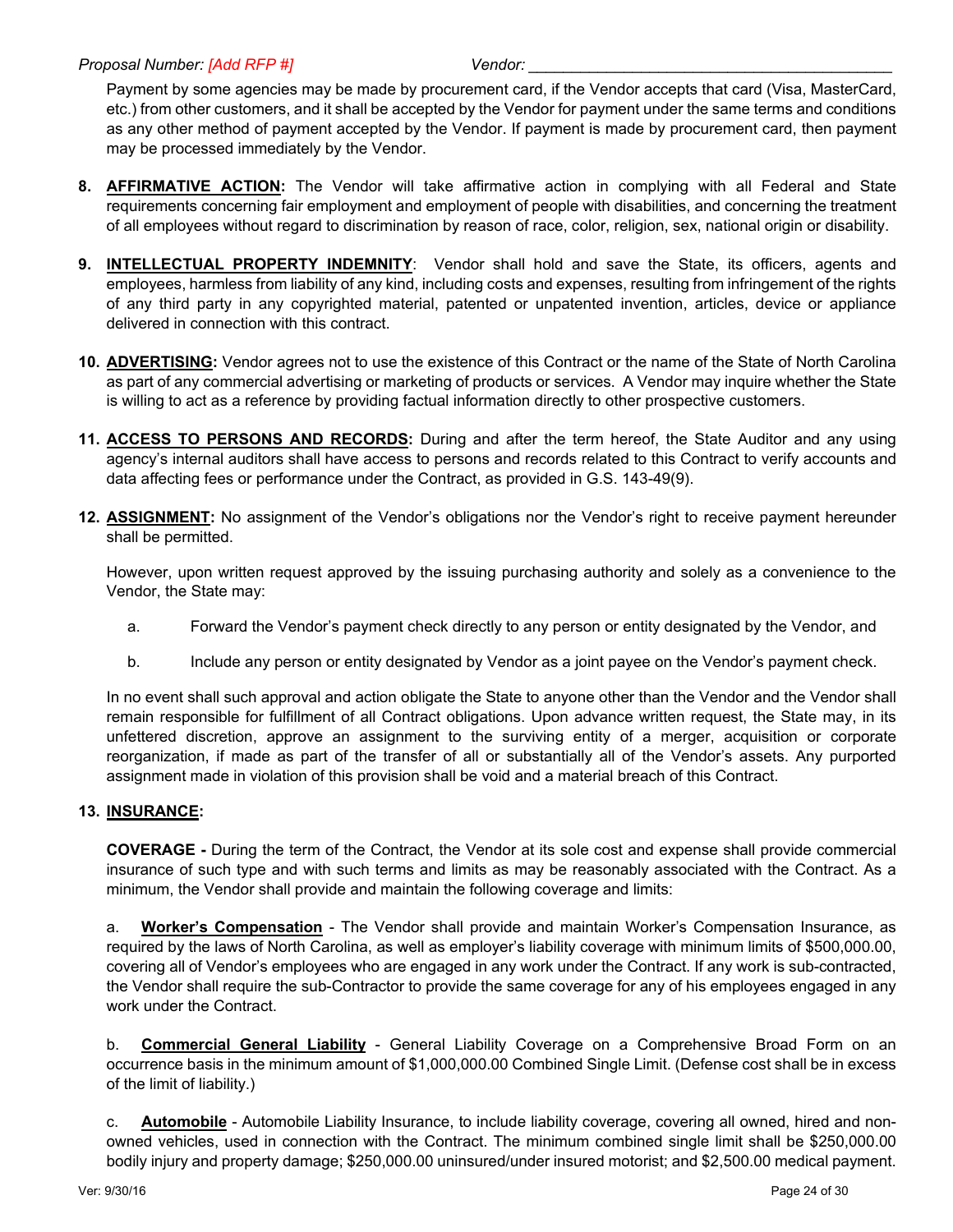Payment by some agencies may be made by procurement card, if the Vendor accepts that card (Visa, MasterCard, etc.) from other customers, and it shall be accepted by the Vendor for payment under the same terms and conditions as any other method of payment accepted by the Vendor. If payment is made by procurement card, then payment may be processed immediately by the Vendor.

- **8. AFFIRMATIVE ACTION:** The Vendor will take affirmative action in complying with all Federal and State requirements concerning fair employment and employment of people with disabilities, and concerning the treatment of all employees without regard to discrimination by reason of race, color, religion, sex, national origin or disability.
- **9. INTELLECTUAL PROPERTY INDEMNITY**: Vendor shall hold and save the State, its officers, agents and employees, harmless from liability of any kind, including costs and expenses, resulting from infringement of the rights of any third party in any copyrighted material, patented or unpatented invention, articles, device or appliance delivered in connection with this contract.
- **10. ADVERTISING:** Vendor agrees not to use the existence of this Contract or the name of the State of North Carolina as part of any commercial advertising or marketing of products or services. A Vendor may inquire whether the State is willing to act as a reference by providing factual information directly to other prospective customers.
- **11. ACCESS TO PERSONS AND RECORDS:** During and after the term hereof, the State Auditor and any using agency's internal auditors shall have access to persons and records related to this Contract to verify accounts and data affecting fees or performance under the Contract, as provided in G.S. 143-49(9).
- **12. ASSIGNMENT:** No assignment of the Vendor's obligations nor the Vendor's right to receive payment hereunder shall be permitted.

However, upon written request approved by the issuing purchasing authority and solely as a convenience to the Vendor, the State may:

- a. Forward the Vendor's payment check directly to any person or entity designated by the Vendor, and
- b. Include any person or entity designated by Vendor as a joint payee on the Vendor's payment check.

In no event shall such approval and action obligate the State to anyone other than the Vendor and the Vendor shall remain responsible for fulfillment of all Contract obligations. Upon advance written request, the State may, in its unfettered discretion, approve an assignment to the surviving entity of a merger, acquisition or corporate reorganization, if made as part of the transfer of all or substantially all of the Vendor's assets. Any purported assignment made in violation of this provision shall be void and a material breach of this Contract.

#### **13. INSURANCE:**

**COVERAGE -** During the term of the Contract, the Vendor at its sole cost and expense shall provide commercial insurance of such type and with such terms and limits as may be reasonably associated with the Contract. As a minimum, the Vendor shall provide and maintain the following coverage and limits:

a. **Worker's Compensation** - The Vendor shall provide and maintain Worker's Compensation Insurance, as required by the laws of North Carolina, as well as employer's liability coverage with minimum limits of \$500,000.00, covering all of Vendor's employees who are engaged in any work under the Contract. If any work is sub-contracted, the Vendor shall require the sub-Contractor to provide the same coverage for any of his employees engaged in any work under the Contract.

b. **Commercial General Liability** - General Liability Coverage on a Comprehensive Broad Form on an occurrence basis in the minimum amount of \$1,000,000.00 Combined Single Limit. (Defense cost shall be in excess of the limit of liability.)

c. **Automobile** - Automobile Liability Insurance, to include liability coverage, covering all owned, hired and nonowned vehicles, used in connection with the Contract. The minimum combined single limit shall be \$250,000.00 bodily injury and property damage; \$250,000.00 uninsured/under insured motorist; and \$2,500.00 medical payment.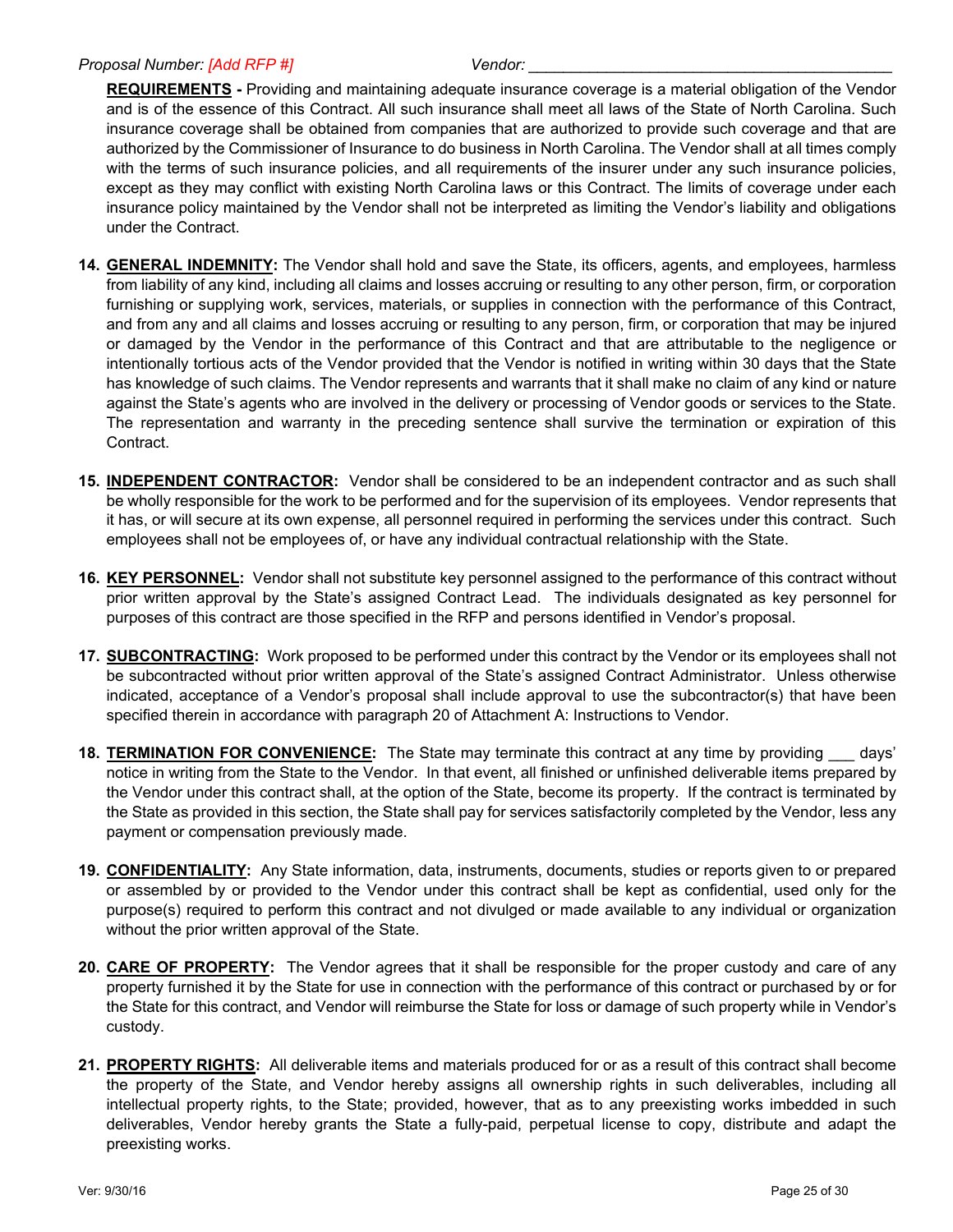**REQUIREMENTS -** Providing and maintaining adequate insurance coverage is a material obligation of the Vendor and is of the essence of this Contract. All such insurance shall meet all laws of the State of North Carolina. Such insurance coverage shall be obtained from companies that are authorized to provide such coverage and that are authorized by the Commissioner of Insurance to do business in North Carolina. The Vendor shall at all times comply with the terms of such insurance policies, and all requirements of the insurer under any such insurance policies, except as they may conflict with existing North Carolina laws or this Contract. The limits of coverage under each insurance policy maintained by the Vendor shall not be interpreted as limiting the Vendor's liability and obligations under the Contract.

- **14. GENERAL INDEMNITY:** The Vendor shall hold and save the State, its officers, agents, and employees, harmless from liability of any kind, including all claims and losses accruing or resulting to any other person, firm, or corporation furnishing or supplying work, services, materials, or supplies in connection with the performance of this Contract, and from any and all claims and losses accruing or resulting to any person, firm, or corporation that may be injured or damaged by the Vendor in the performance of this Contract and that are attributable to the negligence or intentionally tortious acts of the Vendor provided that the Vendor is notified in writing within 30 days that the State has knowledge of such claims. The Vendor represents and warrants that it shall make no claim of any kind or nature against the State's agents who are involved in the delivery or processing of Vendor goods or services to the State. The representation and warranty in the preceding sentence shall survive the termination or expiration of this Contract.
- **15. INDEPENDENT CONTRACTOR:** Vendor shall be considered to be an independent contractor and as such shall be wholly responsible for the work to be performed and for the supervision of its employees. Vendor represents that it has, or will secure at its own expense, all personnel required in performing the services under this contract. Such employees shall not be employees of, or have any individual contractual relationship with the State.
- **16. KEY PERSONNEL:** Vendor shall not substitute key personnel assigned to the performance of this contract without prior written approval by the State's assigned Contract Lead. The individuals designated as key personnel for purposes of this contract are those specified in the RFP and persons identified in Vendor's proposal.
- **17. SUBCONTRACTING:** Work proposed to be performed under this contract by the Vendor or its employees shall not be subcontracted without prior written approval of the State's assigned Contract Administrator. Unless otherwise indicated, acceptance of a Vendor's proposal shall include approval to use the subcontractor(s) that have been specified therein in accordance with paragraph 20 of Attachment A: Instructions to Vendor.
- **18. <b>TERMINATION** FOR CONVENIENCE: The State may terminate this contract at any time by providing days' notice in writing from the State to the Vendor. In that event, all finished or unfinished deliverable items prepared by the Vendor under this contract shall, at the option of the State, become its property. If the contract is terminated by the State as provided in this section, the State shall pay for services satisfactorily completed by the Vendor, less any payment or compensation previously made.
- **19. CONFIDENTIALITY:** Any State information, data, instruments, documents, studies or reports given to or prepared or assembled by or provided to the Vendor under this contract shall be kept as confidential, used only for the purpose(s) required to perform this contract and not divulged or made available to any individual or organization without the prior written approval of the State.
- **20. CARE OF PROPERTY:** The Vendor agrees that it shall be responsible for the proper custody and care of any property furnished it by the State for use in connection with the performance of this contract or purchased by or for the State for this contract, and Vendor will reimburse the State for loss or damage of such property while in Vendor's custody.
- **21. PROPERTY RIGHTS:** All deliverable items and materials produced for or as a result of this contract shall become the property of the State, and Vendor hereby assigns all ownership rights in such deliverables, including all intellectual property rights, to the State; provided, however, that as to any preexisting works imbedded in such deliverables, Vendor hereby grants the State a fully-paid, perpetual license to copy, distribute and adapt the preexisting works.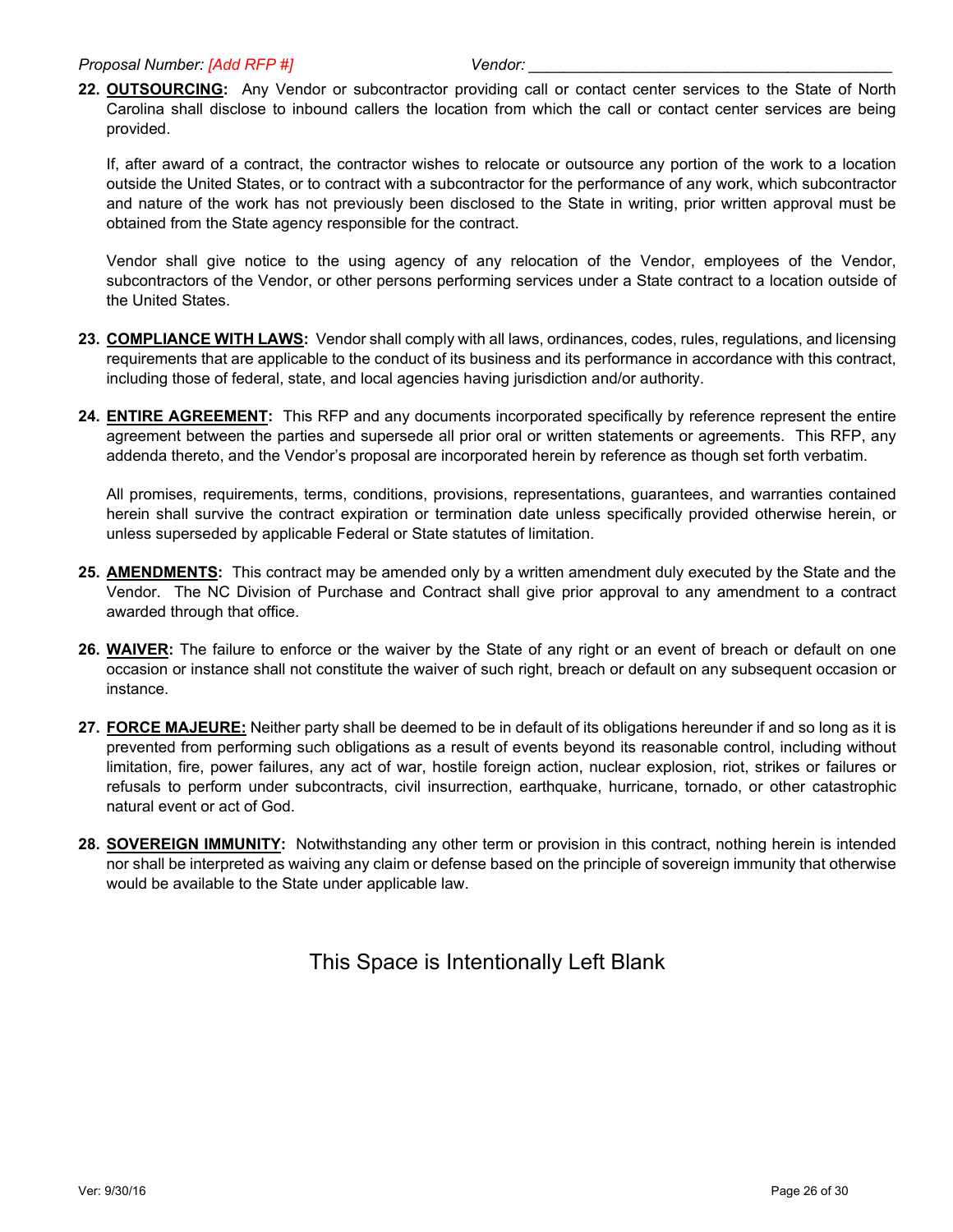**22. OUTSOURCING:** Any Vendor or subcontractor providing call or contact center services to the State of North Carolina shall disclose to inbound callers the location from which the call or contact center services are being provided.

If, after award of a contract, the contractor wishes to relocate or outsource any portion of the work to a location outside the United States, or to contract with a subcontractor for the performance of any work, which subcontractor and nature of the work has not previously been disclosed to the State in writing, prior written approval must be obtained from the State agency responsible for the contract.

Vendor shall give notice to the using agency of any relocation of the Vendor, employees of the Vendor, subcontractors of the Vendor, or other persons performing services under a State contract to a location outside of the United States.

- **23. COMPLIANCE WITH LAWS:** Vendor shall comply with all laws, ordinances, codes, rules, regulations, and licensing requirements that are applicable to the conduct of its business and its performance in accordance with this contract, including those of federal, state, and local agencies having jurisdiction and/or authority.
- **24. ENTIRE AGREEMENT:** This RFP and any documents incorporated specifically by reference represent the entire agreement between the parties and supersede all prior oral or written statements or agreements. This RFP, any addenda thereto, and the Vendor's proposal are incorporated herein by reference as though set forth verbatim.

All promises, requirements, terms, conditions, provisions, representations, guarantees, and warranties contained herein shall survive the contract expiration or termination date unless specifically provided otherwise herein, or unless superseded by applicable Federal or State statutes of limitation.

- **25. AMENDMENTS:** This contract may be amended only by a written amendment duly executed by the State and the Vendor. The NC Division of Purchase and Contract shall give prior approval to any amendment to a contract awarded through that office.
- **26. WAIVER:** The failure to enforce or the waiver by the State of any right or an event of breach or default on one occasion or instance shall not constitute the waiver of such right, breach or default on any subsequent occasion or instance.
- **27. FORCE MAJEURE:** Neither party shall be deemed to be in default of its obligations hereunder if and so long as it is prevented from performing such obligations as a result of events beyond its reasonable control, including without limitation, fire, power failures, any act of war, hostile foreign action, nuclear explosion, riot, strikes or failures or refusals to perform under subcontracts, civil insurrection, earthquake, hurricane, tornado, or other catastrophic natural event or act of God.
- **28. SOVEREIGN IMMUNITY:** Notwithstanding any other term or provision in this contract, nothing herein is intended nor shall be interpreted as waiving any claim or defense based on the principle of sovereign immunity that otherwise would be available to the State under applicable law.

This Space is Intentionally Left Blank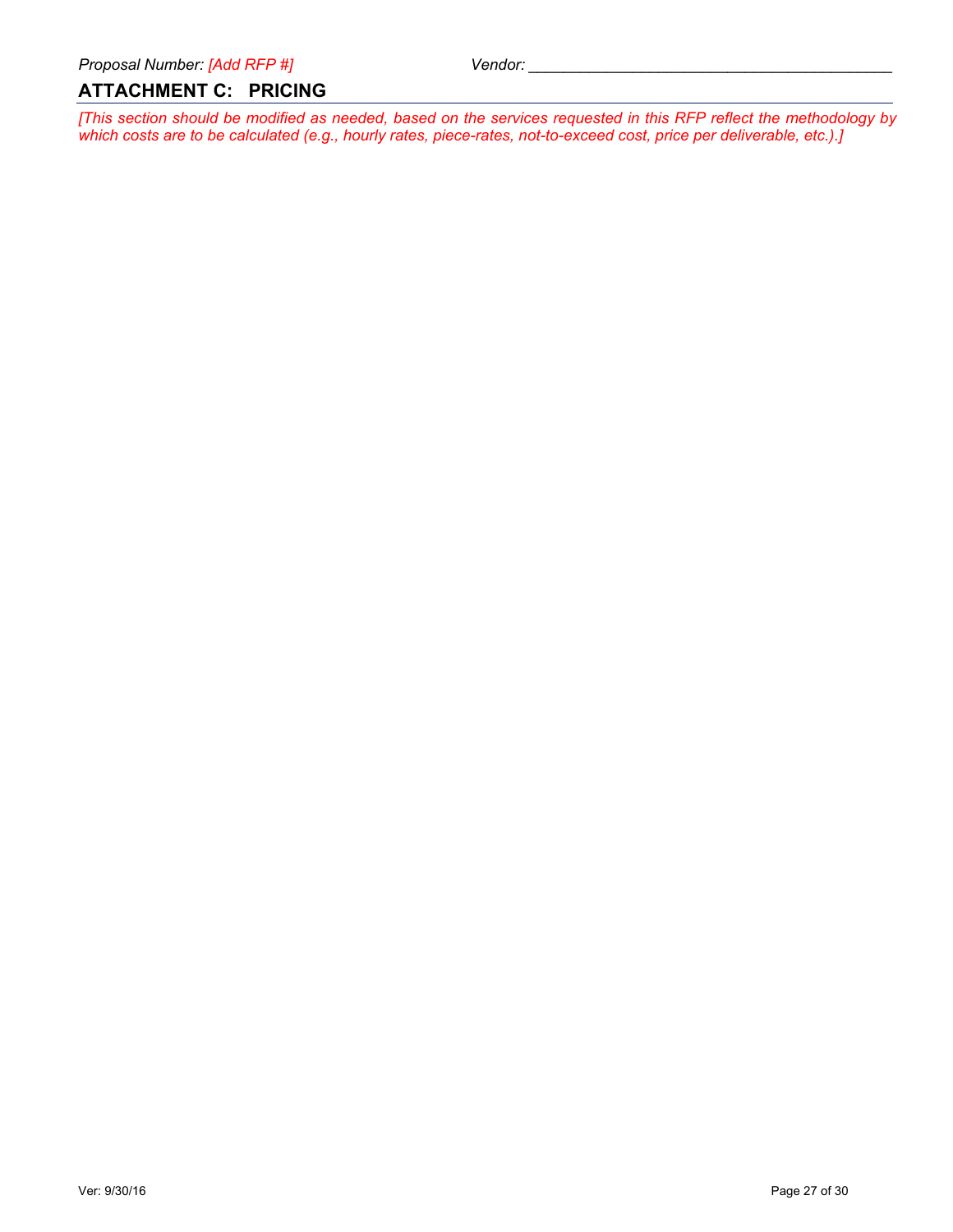## <span id="page-28-0"></span>**ATTACHMENT C: PRICING**

*[This section should be modified as needed, based on the services requested in this RFP reflect the methodology by which costs are to be calculated (e.g., hourly rates, piece-rates, not-to-exceed cost, price per deliverable, etc.).]*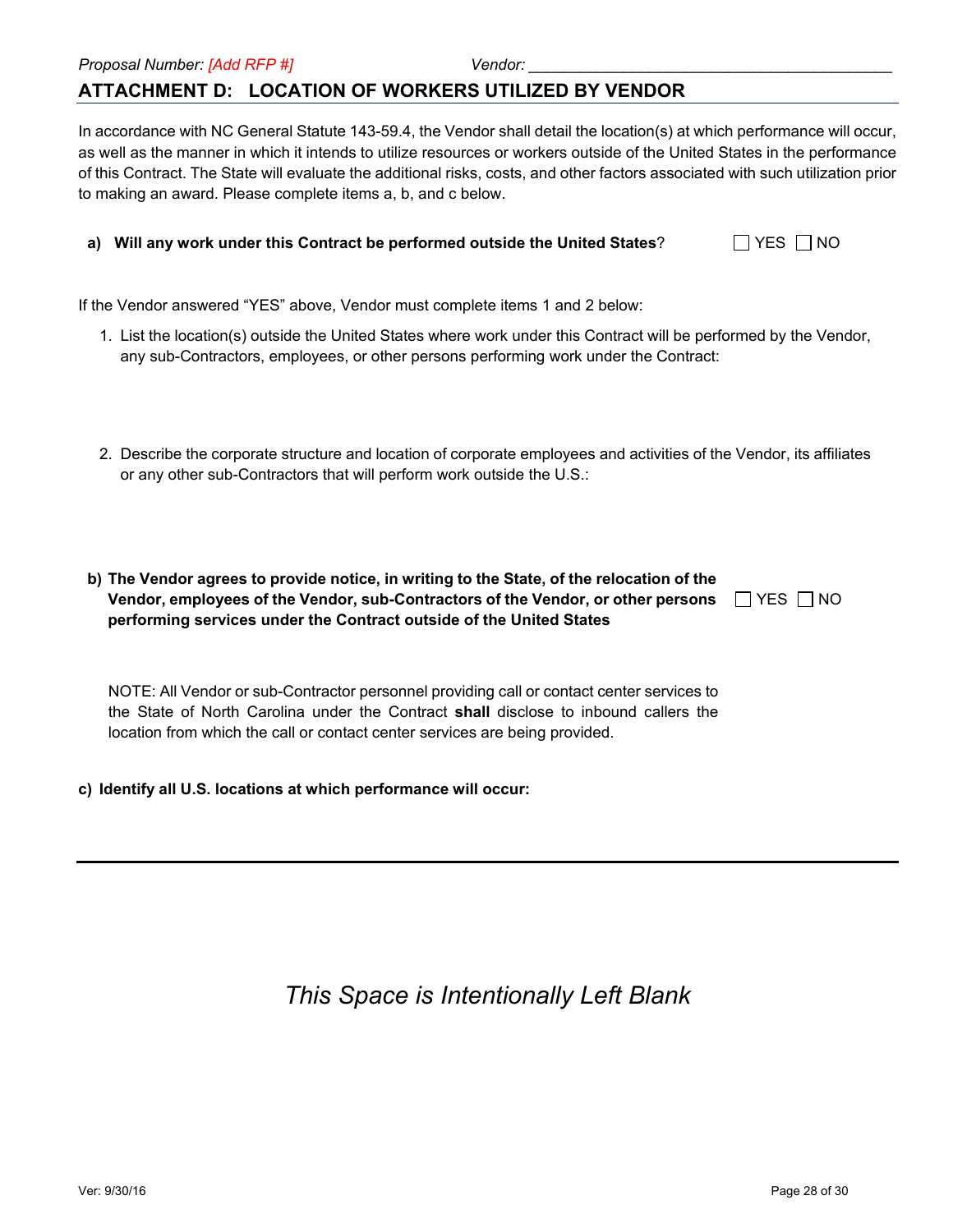## <span id="page-29-0"></span>**ATTACHMENT D: LOCATION OF WORKERS UTILIZED BY VENDOR**

In accordance with NC General Statute 143-59.4, the Vendor shall detail the location(s) at which performance will occur, as well as the manner in which it intends to utilize resources or workers outside of the United States in the performance of this Contract. The State will evaluate the additional risks, costs, and other factors associated with such utilization prior to making an award. Please complete items a, b, and c below.

|  | a) Will any work under this Contract be performed outside the United States? | $\Box$ YES $\Box$ NO |
|--|------------------------------------------------------------------------------|----------------------|
|--|------------------------------------------------------------------------------|----------------------|

If the Vendor answered "YES" above, Vendor must complete items 1 and 2 below:

- 1. List the location(s) outside the United States where work under this Contract will be performed by the Vendor, any sub-Contractors, employees, or other persons performing work under the Contract:
- 2. Describe the corporate structure and location of corporate employees and activities of the Vendor, its affiliates or any other sub-Contractors that will perform work outside the U.S.:

| b) The Vendor agrees to provide notice, in writing to the State, of the relocation of the |                   |
|-------------------------------------------------------------------------------------------|-------------------|
| Vendor, employees of the Vendor, sub-Contractors of the Vendor, or other persons          | $\Box$ YES $\Box$ |
| performing services under the Contract outside of the United States                       |                   |

NOTE: All Vendor or sub-Contractor personnel providing call or contact center services to the State of North Carolina under the Contract **shall** disclose to inbound callers the location from which the call or contact center services are being provided.

**c) Identify all U.S. locations at which performance will occur:**

## *This Space is Intentionally Left Blank*

NO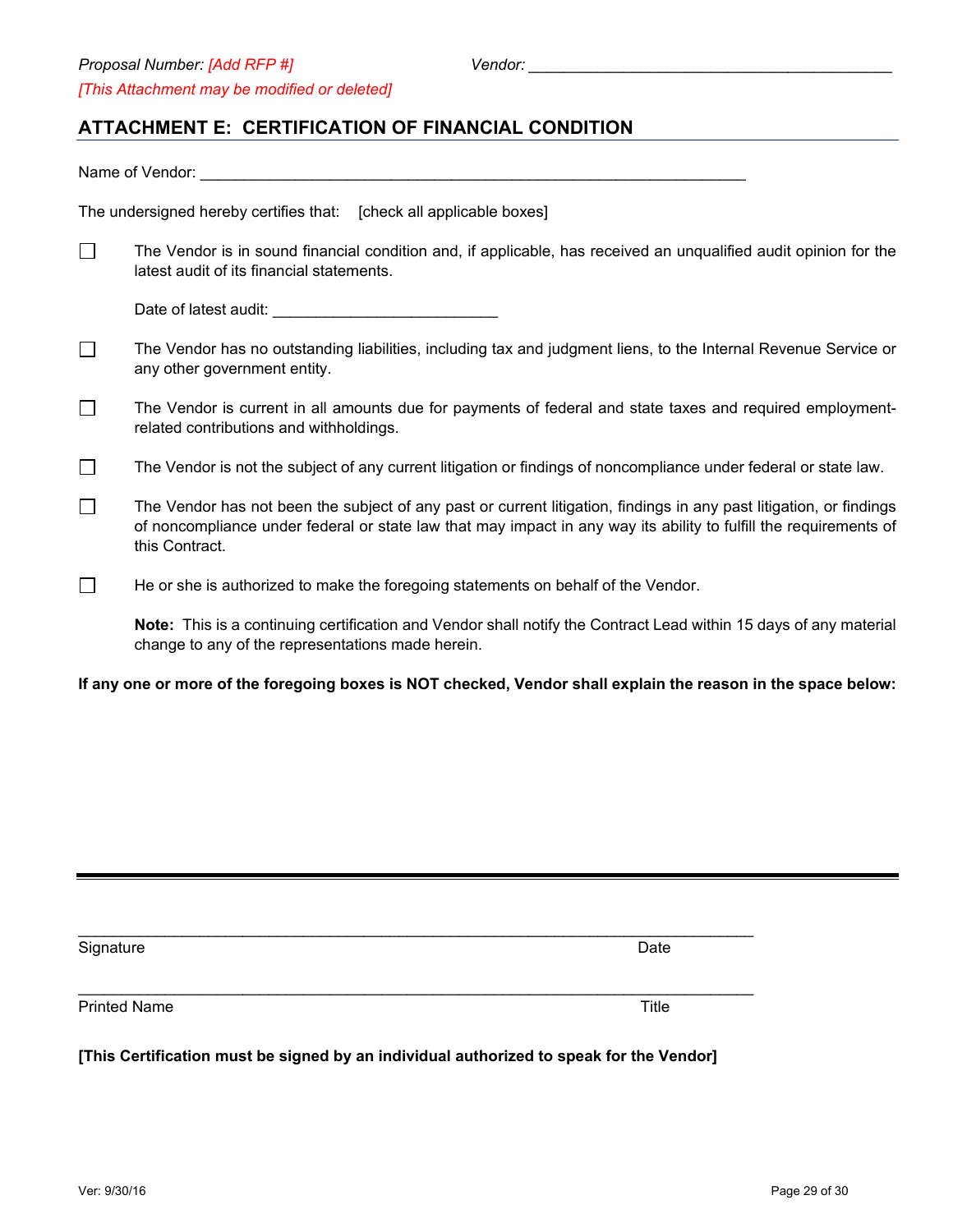## <span id="page-30-0"></span>**ATTACHMENT E: CERTIFICATION OF FINANCIAL CONDITION**

|                             | Name of Vendor: Name of Vendor:                                                                                                                                                                                                                            |  |
|-----------------------------|------------------------------------------------------------------------------------------------------------------------------------------------------------------------------------------------------------------------------------------------------------|--|
|                             | The undersigned hereby certifies that: [check all applicable boxes]                                                                                                                                                                                        |  |
| $\Box$                      | The Vendor is in sound financial condition and, if applicable, has received an unqualified audit opinion for the<br>latest audit of its financial statements.                                                                                              |  |
|                             |                                                                                                                                                                                                                                                            |  |
| $\Box$                      | The Vendor has no outstanding liabilities, including tax and judgment liens, to the Internal Revenue Service or<br>any other government entity.                                                                                                            |  |
| $\mathcal{L}_{\mathcal{A}}$ | The Vendor is current in all amounts due for payments of federal and state taxes and required employment-<br>related contributions and withholdings.                                                                                                       |  |
| $\Box$                      | The Vendor is not the subject of any current litigation or findings of noncompliance under federal or state law.                                                                                                                                           |  |
| $\Box$                      | The Vendor has not been the subject of any past or current litigation, findings in any past litigation, or findings<br>of noncompliance under federal or state law that may impact in any way its ability to fulfill the requirements of<br>this Contract. |  |
| $\Box$                      | He or she is authorized to make the foregoing statements on behalf of the Vendor.                                                                                                                                                                          |  |
|                             | Note: This is a continuing certification and Vendor shall notify the Contract Lead within 15 days of any material<br>change to any of the representations made herein.                                                                                     |  |
|                             | iana af tha fancochan barrea la NOT abactuad. Vandan aball amballa tha neacan ha tha anaca balairi                                                                                                                                                         |  |

**If any one or more of the foregoing boxes is NOT checked, Vendor shall explain the reason in the space below:**

Signature Date **Date** 

Printed Name Title

**[This Certification must be signed by an individual authorized to speak for the Vendor]** 

\_\_\_\_\_\_\_\_\_\_\_\_\_\_\_\_\_\_\_\_\_\_\_\_\_\_\_\_\_\_\_\_\_\_\_\_\_\_\_\_\_\_\_\_\_\_\_\_\_\_\_\_\_\_\_\_\_\_\_\_\_\_\_\_\_\_\_\_\_\_\_\_\_\_\_\_\_\_

\_\_\_\_\_\_\_\_\_\_\_\_\_\_\_\_\_\_\_\_\_\_\_\_\_\_\_\_\_\_\_\_\_\_\_\_\_\_\_\_\_\_\_\_\_\_\_\_\_\_\_\_\_\_\_\_\_\_\_\_\_\_\_\_\_\_\_\_\_\_\_\_\_\_\_\_\_\_